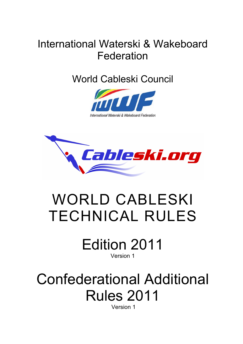## International Waterski & Wakeboard Federation

World Cableski Council





# WORLD CABLESKI TECHNICAL RULES

Edition 2011 Version 1

# Confederational Additional Rules 2011

Version 1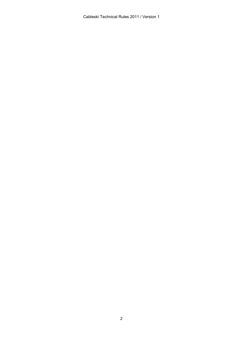Cableski Technical Rules 2011 / Version 1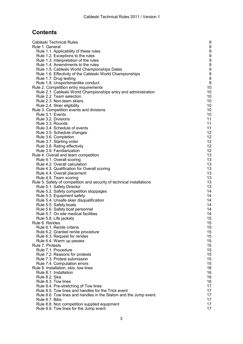## **Contents**

| Cableski Technical Rules                                              | 9                |
|-----------------------------------------------------------------------|------------------|
| Rule 1. General                                                       | $\boldsymbol{9}$ |
| Rule 1.1. Applicability of these rules                                | $\boldsymbol{9}$ |
|                                                                       | $\boldsymbol{9}$ |
| Rule 1.2. Exceptions to the rules                                     | 9                |
| Rule 1.3. Interpretation of the rules                                 |                  |
| Rule 1.4. Amendments to the rules                                     | 9                |
| Rule 1.5. Cableski World Championships Dates                          | 9                |
| Rule 1.6. Effectivity of the Cableski World Championships             | $\boldsymbol{9}$ |
| Rule 1.7. Drug testing                                                | $\boldsymbol{9}$ |
| Rule 1.8. Unsportsmanlike conduct                                     | $\boldsymbol{9}$ |
| Rule 2. Competition entry requirements                                | 10               |
| Rule 2.1. Cableski World Championships entry and administration       | 10               |
| Rule 2.2. Team selection                                              | 10               |
| Rule 2.3. Non-team skiers                                             | 10               |
| Rule 2.4. Skier eligibility                                           | 10               |
| Rule 3. Competition events and divisions                              | 10               |
| Rule 3.1. Events                                                      | 10               |
| Rule 3.2. Divisions                                                   | 11               |
| Rule 3.3. Rounds                                                      | 11               |
| Rule 3.4. Schedule of events                                          | 11               |
| Rule 3.5. Schedule changes                                            | 12               |
| Rule 3.6. Completion                                                  | 12               |
| Rule 3.7. Starting order                                              | 12               |
| Rule 3.8. Rating effectivity                                          | 12               |
| Rule 3.9. Familiarization                                             | 12               |
| Rule 4. Overall and team competition                                  | 13               |
| Rule 4.1. Overall scoring                                             | 13               |
| Rule 4.2. Overall calculation                                         | 13               |
| Rule 4.3. Qualification for Overall scoring                           | 13               |
| Rule 4.4. Overall placement                                           | 13               |
| Rule 4.5. Team scoring                                                | 13               |
| Rule 5. Safety of competition and security of technical installations | 13               |
| Rule 5.1. Safety Director                                             | 13               |
| Rule 5.2. Safety competition stoppages                                | 14               |
| Rule 5.3. Equipment safety                                            | 14               |
| Rule 5.4. Unsafe skier disqualification                               | 14               |
| Rule 5.5. Safety boats                                                | 14               |
| Rule 5.6. Safety boat personnel                                       | 14               |
| Rule 5.7. On site medical facilities                                  | 14               |
| Rule 5.8. Life jackets                                                | 15               |
| Rule 6. Rerides                                                       | 15               |
| Rule 6.1. Reride criteria                                             | 15               |
| Rule 6.2. Granted reride procedure                                    | 15               |
| Rule 6.3. Request for rerides                                         | 15               |
| Rule 6.4. Warm up passes                                              | 15               |
| Rule 7. Protests                                                      | 15               |
| Rule 7.1. Procedure                                                   | 15               |
| Rule 7.2. Reasons for protests                                        | 15               |
| Rule 7.3. Protest submission                                          | 15               |
| Rule 7.4. Computation errors                                          | 15               |
| Rule 8. Installation, skis, tow lines                                 | 16               |
| Rule 8.1. Installation                                                | 16               |
| Rule 8.2. Skis                                                        | 16               |
| Rule 8.3. Tow lines                                                   | 16               |
| Rule 8.4. Pre-stretching of Tow lines                                 | 17               |
| Rule 8.5. Tow lines and handles for the Trick event                   | 17               |
| Rule 8.6. Tow lines and handles in the Slalom and the Jump event.     | 17               |
| Rule 8.7. Bibs                                                        | 17               |
| Rule 8.8. Non competition supplied equipment                          | 17               |
| Rule 8.9. Tow lines for the Jump event                                | 17               |
|                                                                       |                  |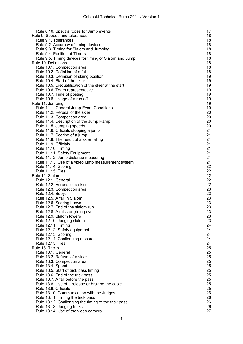| Rule 8.10. Spectra ropes for Jump events               | 17 |
|--------------------------------------------------------|----|
| Rule 9. Speeds and tolerances                          | 18 |
| Rule 9.1. Tolerances                                   | 18 |
| Rule 9.2. Accuracy of timing devices                   | 18 |
|                                                        |    |
| Rule 9.3. Timing for Slalom and Jumping                | 18 |
| Rule 9.4. Position of Timers                           | 18 |
| Rule 9.5. Timing devices for timing of Slalom and Jump | 18 |
| Rule 10. Definitions                                   | 18 |
| Rule 10.1. Competition area                            | 18 |
| Rule 10.2. Definition of a fall                        | 18 |
| Rule 10.3. Definition of skiing position               | 19 |
| Rule 10.4. Start of the skier                          | 19 |
| Rule 10.5. Disqualification of the skier at the start  | 19 |
| Rule 10.6. Team representative                         | 19 |
| Rule 10.7. Time of posting                             | 19 |
| Rule 10.8. Usage of a run off                          | 19 |
| Rule 11. Jumping                                       | 19 |
| Rule 11.1. General Jump Event Conditions               | 19 |
| Rule 11.2. Refusal of the skier                        | 20 |
|                                                        | 20 |
| Rule 11.3. Competition area                            | 20 |
| Rule 11.4. Description of the Jump Ramp                |    |
| Rule 11.5. Jumping speeds                              | 20 |
| Rule 11.6. Officials stopping a jump                   | 21 |
| Rule 11.7. Scoring of a jump                           | 21 |
| Rule 11.8. The result of a skier falling               | 21 |
| Rule 11.9. Officials                                   | 21 |
| Rule 11.10. Timing                                     | 21 |
| Rule 11.11. Safety Equipment                           | 21 |
| Rule 11.12. Jump distance measuring                    | 21 |
| Rule 11.13. Use of a video jump measurement system     | 21 |
| Rule 11.14. Scoring                                    | 22 |
| <b>Rule 11.15. Ties</b>                                | 22 |
| Rule 12. Slalom                                        | 22 |
| Rule 12.1. General                                     | 22 |
| Rule 12.2. Refusal of a skier                          | 22 |
|                                                        | 23 |
| Rule 12.3. Competition area                            |    |
| Rule 12.4. Buoys                                       | 23 |
| Rule 12.5. A fall in Slalom                            | 23 |
| Rule 12.6. Scoring buoys                               | 23 |
| Rule 12.7. End of the slalom run                       | 23 |
| Rule 12.8. A miss or "riding over"                     | 23 |
| Rule 12.9. Slalom towers                               | 23 |
| Rule 12.10. Judging slalom                             | 23 |
| Rule 12.11. Timing                                     | 24 |
| Rule 12.12. Safety equipment                           | 24 |
| Rule 12.13. Scoring                                    | 24 |
| Rule 12.14. Challenging a score                        | 24 |
| <b>Rule 12.15. Ties</b>                                | 24 |
| Rule 13. Tricks                                        | 25 |
| Rule 13.1. General                                     | 25 |
| Rule 13.2. Refusal of a skier                          | 25 |
| Rule 13.3. Competition area                            | 25 |
| Rule 13.4. Speed                                       | 25 |
| Rule 13.5. Start of trick pass timing                  | 25 |
|                                                        |    |
| Rule 13.6. End of the trick pass                       | 25 |
| Rule 13.7. A fall before the pass                      | 25 |
| Rule 13.8. Use of a release or braking the cable       | 25 |
| Rule 13.9. Officials                                   | 25 |
| Rule 13.10. Communication with the Judges              | 26 |
| Rule 13.11. Timing the trick pass                      | 26 |
| Rule 13.12. Challenging the timing of the trick pass   | 26 |
| Rule 13.13. Judging tricks                             | 26 |
| Rule 13.14. Use of the video camera                    | 27 |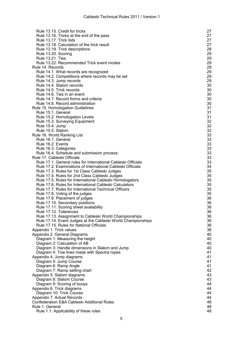| Rule 13.15. Credit for tricks                                 | 27 |
|---------------------------------------------------------------|----|
|                                                               |    |
| Rule 13.16. Tricks at the end of the pass                     | 27 |
| Rule 13.17. Trick lists                                       | 27 |
| Rule 13.18. Calculation of the trick result                   | 27 |
| Rule 13.19. Trick descriptions                                | 28 |
| Rule 13.20. Scoring                                           | 29 |
|                                                               |    |
| <b>Rule 13.21. Ties</b>                                       | 29 |
| Rule 13.22. Recommended Trick event modes                     | 29 |
| Rule 14. Records                                              | 29 |
| Rule 14.1. What records are recognized                        | 29 |
|                                                               | 29 |
| Rule 14.2. Competitions where records may be set              |    |
| Rule 14.3. Jump records                                       | 29 |
| Rule 14.4. Slalom records                                     | 30 |
| Rule 14.5. Trick records                                      | 30 |
| Rule 14.6. Ties in an event                                   | 30 |
|                                                               |    |
| Rule 14.7. Record forms and criteria                          | 30 |
| Rule 14.8. Record administration                              | 30 |
| Rule 15. Homologation Guidelines                              | 31 |
| Rule 15.1. General                                            | 31 |
| Rule 15.2. Homologation Levels                                | 31 |
|                                                               |    |
| Rule 15.3. Surveying Equipment                                | 32 |
| Rule 15.4. Jump                                               | 32 |
| Rule 15.5. Slalom                                             | 32 |
| Rule 16. World Ranking List                                   | 33 |
| Rule 16.1. General                                            | 33 |
|                                                               |    |
| Rule 16.2. Events                                             | 33 |
| Rule 16.3. Categories                                         | 33 |
| Rule 16.4. Schedule and submission process.                   | 33 |
| Rule 17. Cableski Officials                                   | 33 |
|                                                               | 33 |
| Rule 17.1. General rules for International Cableski Officials |    |
| Rule 17.2. Examinations of International Cableski Officials   | 34 |
| Rule 17.3. Rules for 1st Class Cableski Judges                | 35 |
| Rule 17.4. Rules for 2nd Class Cableski Judges                | 35 |
| Rule 17.5. Rules for International Cableski Homologators      | 35 |
|                                                               |    |
| Rule 17.6. Rules for International Cableski Calculators       | 35 |
| Rule 17.7. Rules for International Technical Officers         | 35 |
| Rule 17.8. Voting of the judges                               | 35 |
| Rule 17.9. Placement of judges                                | 36 |
| Rule 17.10. Secondary positions                               | 36 |
|                                                               |    |
| Rule 17.11. Scoring sheet availability                        | 36 |
| Rule 17.12. Tolerances                                        | 36 |
| Rule 17.13. Assignment to Cableski World Championships        | 36 |
| Rule 17.14. Event Judges at the Cableski World Championships  | 36 |
| Rule 17.15. Rules for National Officials                      | 36 |
|                                                               |    |
| Appendix 1. Trick values                                      | 38 |
| Appendix 2. General Diagrams                                  | 40 |
| Diagram 1: Measuring the height                               | 40 |
| Diagram 2: Calculation of AB                                  | 40 |
|                                                               |    |
| Diagram 3: Handle dimensions in Slalom and Jump               | 40 |
| Diagram 4: Tow lines made with Spectra ropes                  | 41 |
| Appendix 4. Jump diagrams                                     | 41 |
| Diagram 5: Jump Course                                        | 41 |
| Diagram 6: Ramp Angle                                         | 41 |
|                                                               |    |
| Diagram 7: Ramp setting chart                                 | 42 |
| Appendix 5. Slalom diagrams                                   | 43 |
| Diagram 8: Slalom Course                                      | 43 |
| Diagram 9: Scoring of buoys                                   | 44 |
| Appendix 6. Trick diagrams                                    | 44 |
|                                                               |    |
| Diagram 10: Trick Course                                      | 44 |
| Appendix 7. Actual Records                                    | 44 |
| Confederation E&A Cableski Additional Rules                   | 48 |
| Rule 1. General                                               | 48 |
| Rule 1.1. Applicability of these rules                        | 48 |
|                                                               |    |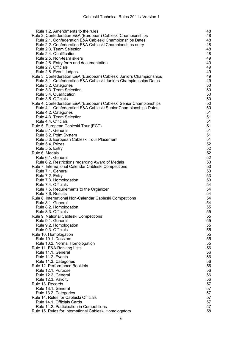| Rule 1.2. Amendments to the rules                                   | 48 |
|---------------------------------------------------------------------|----|
| Rule 2. Confederation E&A (European) Cableski Championships         | 48 |
| Rule 2.1. Confederation E&A Cableski Championships Dates            | 48 |
| Rule 2.2. Confederation E&A Cableski Championships entry            | 48 |
| Rule 2.3. Team Selection                                            | 48 |
| Rule 2.4. Qualification                                             | 48 |
| Rule 2.5. Non-team skiers                                           | 49 |
| Rule 2.6. Entry form and documentation                              | 49 |
| Rule 2.7. Officials                                                 | 49 |
| Rule 2.8. Event Judges                                              | 49 |
| Rule 3. Confederation E&A (European) Cableski Juniors Championships | 49 |
| Rule 3.1. Confederation E&A Cableski Juniors Championships Dates    | 49 |
| Rule 3.2. Categories                                                | 50 |
| Rule 3.3. Team Selection                                            | 50 |
| Rule 3.4. Qualification                                             | 50 |
| Rule 3.5. Officials                                                 | 50 |
| Rule 4. Confederation E&A (European) Cableski Senior Championships  | 50 |
| Rule 4.1. Confederation E&A Cableski Senior Championships Dates     | 50 |
| Rule 4.2. Categories                                                | 51 |
| Rule 4.3. Team Selection                                            | 51 |
| Rule 4.4. Officials                                                 | 51 |
| Rule 5. European Cableski Tour (ECT)                                | 51 |
| Rule 5.1. General                                                   | 51 |
| Rule 5.2. Point System                                              | 51 |
| Rule 5.3. European Cableski Tour Placement                          | 51 |
| Rule 5.4. Prizes                                                    | 52 |
| Rule 5.5. Entry                                                     | 52 |
| Rule 6. Medals                                                      | 52 |
| Rule 6.1. General                                                   | 52 |
| Rule 6.2. Restrictions regarding Award of Medals                    | 53 |
| Rule 7. International Calendar Cableski Competitions                | 53 |
| Rule 7.1. General                                                   | 53 |
| Rule 7.2. Entry                                                     | 53 |
| Rule 7.3. Homologation                                              | 53 |
| Rule 7.4. Officials                                                 | 54 |
| Rule 7.5. Requirements to the Organizer                             | 54 |
| Rule 7.6. Results                                                   | 54 |
| Rule 8. International Non-Calendar Cableski Competitions            | 54 |
| Rule 8.1. General                                                   | 54 |
| Rule 8.2. Homologation                                              | 55 |
| Rule 8.3. Officials                                                 | 55 |
| Rule 9. National Cableski Competitions                              | 55 |
| Rule 9.1. General                                                   | 55 |
| Rule 9.2. Homologation                                              | 55 |
| Rule 9.3. Officials                                                 | 55 |
| Rule 10. Homologation                                               | 55 |
| Rule 10.1. Dossiers                                                 | 55 |
| Rule 10.2. Normal Homologation                                      | 55 |
| Rule 11. E&A Ranking Lists                                          | 56 |
| Rule 11.1. General                                                  | 56 |
| Rule 11.2. Events                                                   | 56 |
| Rule 11.3. Categories                                               | 56 |
| Rule 12. Performance Booklets                                       | 56 |
| Rule 12.1. Purpose                                                  | 56 |
| Rule 12.2. General                                                  | 56 |
| Rule 12.3. Validity                                                 | 56 |
| Rule 13. Records                                                    | 57 |
| Rule 13.1. General                                                  | 57 |
| Rule 13.2. Categories                                               | 57 |
| Rule 14. Rules for Cableski Officials                               | 57 |
| Rule 14.1. Officials Cards                                          | 57 |
| Rule 14.2. Participation in Competitions                            | 57 |
| Rule 15. Rules for International Cableski Homologators              | 58 |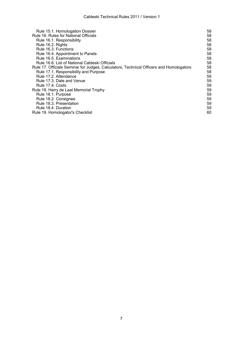| Rule 15.1. Homologation Dossier                                                         | 58 |
|-----------------------------------------------------------------------------------------|----|
| Rule 16. Rules for National Officials                                                   | 58 |
| Rule 16.1. Responsibility                                                               | 58 |
| Rule 16.2. Rights                                                                       | 58 |
| Rule 16.3. Functions                                                                    | 58 |
| Rule 16.4. Appointment to Panels                                                        | 58 |
| Rule 16.5. Examinations                                                                 | 58 |
| Rule 16.6. List of National Cableski Officials                                          | 58 |
| Rule 17. Officials Seminar for Judges, Calculators, Technical Officers and Homologators | 58 |
| Rule 17.1. Responsibility and Purpose                                                   | 58 |
| Rule 17.2. Attendance                                                                   | 59 |
| Rule 17.3. Date and Venue                                                               | 59 |
| Rule 17.4. Costs                                                                        | 59 |
| Rule 18. Harry de Laat Memorial Trophy                                                  | 59 |
| Rule 18.1. Purpose                                                                      | 59 |
| Rule 18.2. Consignee                                                                    | 59 |
| Rule 18.3. Presentation                                                                 | 59 |
| Rule 18.4. Duration                                                                     | 59 |
| Rule 19. Homologator's Checklist                                                        | 60 |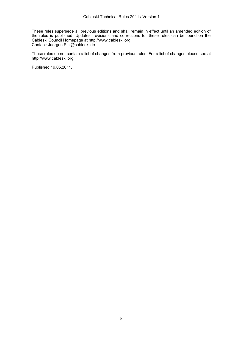These rules supersede all previous editions and shall remain in effect until an amended edition of the rules is published. Updates, revisions and corrections for these rules can be found on the Cableski Council Homepage at http://www.cableski.org Contact: Juergen.Pitz@cableski.de

These rules do not contain a list of changes from previous rules. For a list of changes please see at [http://www.cableski.org](http://www.cableski.org/)

Published 19.05.2011.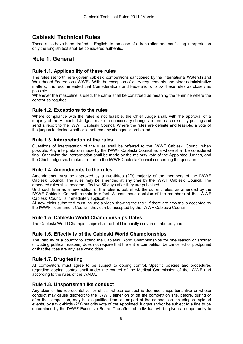## **Cableski Technical Rules**

These rules have been drafted in English. In the case of a translation and conflicting interpretation only the English text shall be considered authentic.

## **Rule 1. General**

#### **Rule 1.1. Applicability of these rules**

The rules set forth here govern cableski competitions sanctioned by the International Waterski and Wakeboard Federation (IWWF). With the exception of entry requirements and other administrative matters, it is recommended that Confederations and Federations follow these rules as closely as possible.

Whenever the masculine is used, the same shall be construed as meaning the feminine where the context so requires.

#### **Rule 1.2. Exceptions to the rules**

Where compliance with the rules is not feasible, the Chief Judge shall, with the approval of a majority of the Appointed Judges, make the necessary changes, inform each skier by posting and send a report to the IWWF Cableski Council. Where the rules are definite and feasible, a vote of the judges to decide whether to enforce any changes is prohibited.

#### **Rule 1.3. Interpretation of the rules**

Questions of interpretation of the rules shall be referred to the IWWF Cableski Council when possible. Any interpretation made by the IWWF Cableski Council as a whole shall be considered final. Otherwise the interpretation shall be made by the majority vote of the Appointed Judges, and the Chief Judge shall make a report to the IWWF Cableski Council concerning the question.

#### **Rule 1.4. Amendments to the rules**

Amendments must be approved by a two-thirds (2/3) majority of the members of the IWWF Cableski Council. The rules may be amended at any time by the IWWF Cableski Council. The amended rules shall become effective 60 days after they are published.

Until such time as a new edition of the rules is published, the current rules, as amended by the IWWF Cableski Council, remain in effect. A unanimous decision of the members of the IWWF Cableski Council is immediately applicable.

All new tricks submitted must include a video showing the trick. If there are new tricks accepted by the IWWF Tournament Council, they can be accepted by the IWWF Cableski Council.

#### **Rule 1.5. Cableski World Championships Dates**

The Cableski World Championships shall be held biennially in even numbered years.

#### **Rule 1.6. Effectivity of the Cableski World Championships**

The inability of a country to attend the Cableski World Championships for one reason or another (including political reasons) does not require that the entire competition be cancelled or postponed or that the titles are any less world titles.

#### **Rule 1.7. Drug testing**

All competitors must agree to be subject to doping control. Specific policies and procedures regarding doping control shall under the control of the Medical Commission of the IWWF and according to the rules of the WADA.

#### **Rule 1.8. Unsportsmanlike conduct**

Any skier or his representative, or official whose conduct is deemed unsportsmanlike or whose conduct may cause discredit to the IWWF, either on or off the competition site, before, during or after the competition, may be disqualified from all or part of the competition including completed events, by a two-thirds (2/3) majority vote of the Appointed Judges and/or be subject to a fine to be determined by the IWWF Executive Board. The affected individual will be given an opportunity to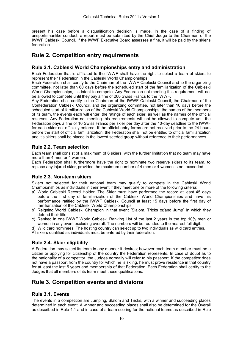present his case before a disqualification decision is made. In the case of a finding of unsportsmanlike conduct, a report must be submitted by the Chief Judge to the Chairman of the IWWF Cableski Council. If the IWWF Executive Board assesses a fine, it will be paid by the skier's federation.

## **Rule 2. Competition entry requirements**

#### **Rule 2.1. Cableski World Championships entry and administration**

Each Federation that is affiliated to the IWWF shall have the right to select a team of skiers to represent their Federation in the Cableski World Championships.

Each Federation shall certify to the Chairman of the IWWF Cableski Council and to the organizing committee, not later than 60 days before the scheduled start of the familiarization of the Cableski World Championships, it's intent to compete. Any Federation not meeting this requirement will not be allowed to compete until they pay a fine of 200 Swiss Francs to the IWWF.

Any Federation shall certify to the Chairman of the IWWF Cableski Council, the Chairman of the Confederation Cableski Council, and the organizing committee, not later than 10 days before the scheduled start of familiarization of the Cableski World Championships, the names of the members of its team, the events each will enter, the ratings of each skier, as well as the names of the official reserves. Any Federation not meeting this requirements will not be allowed to compete until the Federation pays a fine of 10 Swiss Francs per skier per day after the 10-day deadline to the IWWF for each skier not officially entered. If the official entry forms are not received prior to the 24 hours before the start of official familiarization, the Federation shall not be entitled to official familiarization and it's skiers shall be placed in the lowest seeded group without reference to their performances.

#### **Rule 2.2. Team selection**

Each team shall consist of a maximum of 6 skiers, with the further limitation that no team may have more than 4 men or 4 women.

Each Federation shall furthermore have the right to nominate two reserve skiers to its team, to replace any injured skier, provided the maximum number of 4 men or 4 women is not exceeded.

#### **Rule 2.3. Non-team skiers**

Skiers not selected for their national team may qualify to compete in the Cableski World Championships as individuals in their event if they meet one or more of the following criteria:

- a) World Cableski Record Holder. The Skier must have performed the record at least 45 days before the first day of familiarization of the Cableski World Championships and have his performance ratified by the IWWF Cableski Council at least 15 days before the first day of familiarization of the Cableski World Championships.
- b) Reigning World Cableski Champion in that event (Slalom, Tricks or/and Jump) in which they defend their title.
- c) Ranked in one IWWF World Cableski Ranking List of the last 2 years in the top 10% men or women in any event excluding overall. The numbers will be rounded to the nearest full digit.

d) Wild card nominees. The hosting country can select up to two individuals as wild card entries.

All skiers qualified as individuals must be entered by their federation.

#### **Rule 2.4. Skier eligibility**

A Federation may select its team in any manner it desires; however each team member must be a citizen or applying for citizenship of the country the Federation represents. In case of doubt as to the nationality of a competitor, the Judges normally will refer to his passport. If the competitor does not have a passport from the country for which he is skiing, he must prove residence in that country for at least the last 5 years and membership of that Federation. Each Federation shall certify to the Judges that all members of its team meet these qualifications.

## **Rule 3. Competition events and divisions**

#### **Rule 3.1. Events**

The events in a competition are Jumping, Slalom and Tricks, with a winner and succeeding places determined in each event. A winner and succeeding places shall also be determined for the Overall as described in Rule [4.1](#page-12-0) and in case of a team scoring for the national teams as described in Rule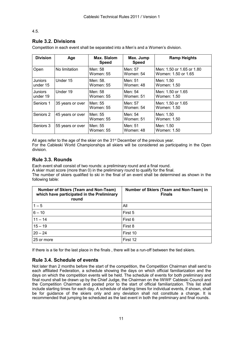#### [4.5.](#page-12-1)

#### <span id="page-10-0"></span>**Rule 3.2. Divisions**

Competition in each event shall be separated into a Men's and a Women's division.

| <b>Division</b>            | Age              | Max. Slalom<br><b>Speed</b> | Max. Jump<br><b>Speed</b> | <b>Ramp Heights</b>                              |
|----------------------------|------------------|-----------------------------|---------------------------|--------------------------------------------------|
| Open                       | No limitation    | Men: 58<br>Women: 55        | Men: 57<br>Women: 54      | Men: 1.50 or 1.65 or 1.80<br>Women: 1.50 or 1.65 |
| <b>Juniors</b><br>under 15 | Under 15         | Men: 58.<br>Women: 55       | Men: 51<br>Women: 48      | Men: 1.50<br>Women: 1.50                         |
| Juniors<br>under 19        | Under 19         | Men: 58<br>Women: $55$      | Men: 54<br>Women: $51$    | Men: 1.50 or 1.65<br>Women: 1.50                 |
| Seniors 1                  | 35 years or over | Men: 55<br>Women: 55        | Men: 57<br>Women: 54      | Men: 1.50 or 1.65<br>Women: 1.50                 |
| Seniors 2                  | 45 years or over | Men: 55<br>Women: 55        | Men: 54<br>Women: 51      | Men: 1.50<br>Women: 1.50                         |
| Seniors 3                  | 55 years or over | Men: 55<br>Women: 55        | Men: 51<br>Women: 48      | Men: 1.50<br>Women: 1.50                         |

All ages refer to the age of the skier on the 31<sup>st</sup> December of the previous year. For the Cableski World Championships all skiers will be considered as participating in the Open

division.

#### **Rule 3.3. Rounds**

Each event shall consist of two rounds: a preliminary round and a final round.

A skier must score (more than 0) in the preliminary round to qualify for the final. The number of skiers qualified to ski in the final of an event shall be determined as shown in the following table:

| <b>Number of Skiers (Team and Non-Team)</b><br>which have participated in the Preliminary<br>round | Number of Skiers (Team and Non-Team) in<br><b>Finals</b> |
|----------------------------------------------------------------------------------------------------|----------------------------------------------------------|
| $1 - 5$                                                                                            | All                                                      |
| $6 - 10$                                                                                           | First 5                                                  |
| $11 - 14$                                                                                          | First 6                                                  |
| $15 - 19$                                                                                          | First 8                                                  |
| $20 - 24$                                                                                          | First 10                                                 |
| 25 or more                                                                                         | First 12                                                 |

If there is a tie for the last place in the finals , there will be a run-off between the tied skiers.

#### **Rule 3.4. Schedule of events**

Not later than 2 months before the start of the competition, the Competition Chairman shall send to each affiliated Federation, a schedule showing the days on which official familiarization and the days on which the competition events will be held. The schedule of events for both preliminary and final round shall be drawn up by the Chief Judge, the Chairman on the IWWF Cableski Council and the Competition Chairman and posted prior to the start of official familiarization. This list shall include starting times for each day. A schedule of starting times for individual events, if shown, shall be for quidance of the skiers only and any deviation shall not constitute a change. It is recommended that jumping be scheduled as the last event in both the preliminary and final rounds.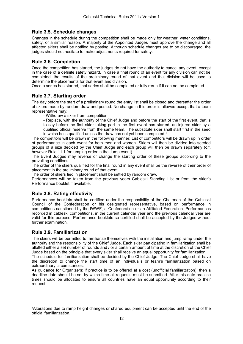#### **Rule 3.5. Schedule changes**

Changes in the schedule during the competition shall be made only for weather, water conditions, safety, or a similar reason. A majority of the Appointed Judges must approve the change and all affected skiers shall be notified by posting. Although schedule changes are to be discouraged, the judges should not hesitate to make adjustments required for safety.

#### **Rule 3.6. Completion**

Once the competition has started, the judges do not have the authority to cancel any event, except in the case of a definite safety hazard. In case a final round of an event for any division can not be completed, the results of the preliminary round of that event and that division will be used to determine the placements for that event and division.

Once a series has started, that series shall be completed or fully rerun if it can not be completed.

#### **Rule 3.7. Starting order**

The day before the start of a preliminary round the entry list shall be closed and thereafter the order of skiers made by random draw and posted. No change in this order is allowed except that a team representative may:

- Withdraw a skier from competition.

- Replace, with the authority of the Chief Judge and before the start of the first event, that is to say before the first skier taking part in the first event has started, an injured skier by a qualified official reserve from the same team. The substitute skier shall start first in the seed in which he is qualified unless the draw has not yet been completed.<sup>[1](#page-11-0)</sup>

The competitors will be drawn in the following manner: List of competitors will be drawn up in order of performance in each event for both men and women. Skiers will then be divided into seeded groups of a size decided by the Chief Judge and each group will then be drawn separately (c.f. however Rule [11.1](#page-18-0) for jumping order in the Jump event).

The Event Judges may reverse or change the starting order of these groups according to the prevailing conditions.

The order of the skiers qualified for the final round in any event shall be the reverse of their order of placement in the preliminary round of that event.

The order of skiers tied in placement shall be settled by random draw.

Performances will be taken from the previous years Cableski Standing List or from the skier's Performance booklet if available.

#### **Rule 3.8. Rating effectivity**

Performance booklets shall be certified under the responsibility of the Chairman of the Cableski Council of the Confederation or his designated representative, based on performance in competitions sanctioned by the IWWF, a Confederation or an Affiliated Federation. Performances recorded in cableski competitions, in the current calendar year and the previous calendar year are valid for this purpose. Performance booklets so certified shall be accepted by the Judges without further examination.

#### **Rule 3.9. Familiarization**

The skiers will be permitted to familiarize themselves with the installation and jump ramp under the authority and the responsibility of the Chief Judge. Each skier participating in familiarization shall be allotted either a set number of rounds and / or a certain amount of time at the discretion of the Chief Judge based on the principle that every skier shall receive an equal opportunity for familiarization.

The schedule for familiarization shall be decided by the Chief Judge. The Chief Judge shall have the discretion to change the start time of an individual's or team's familiarization based on extraordinary circumstances.

As guidance for Organizers: if practice is to be offered at a cost (unofficial familiarization), then a deadline date should be set by which time all requests must be submitted. After this date practice times should be allocated to ensure all countries have an equal opportunity according to their request.

<span id="page-11-0"></span><sup>1</sup>Alterations due to ramp height changes or shared equipment can be accepted until the end of the official familiarization.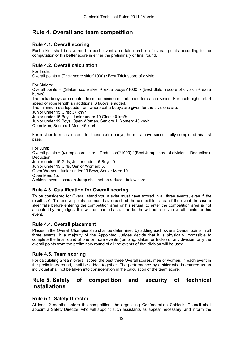## **Rule 4. Overall and team competition**

#### <span id="page-12-0"></span>**Rule 4.1. Overall scoring**

Each skier shall be awarded in each event a certain number of overall points according to the computation of his better score in either the preliminary or final round.

#### **Rule 4.2. Overall calculation**

For Tricks: Overall points = (Trick score skier\*1000) / Best Trick score of division.

For Slalom:

Overall points = ((Slalom score skier + extra buoys)\*1000) / (Best Slalom score of division + extra buoys).

The extra buoys are counted from the minimum startspeed for each division. For each higher start speed or rope length an additional 6 buoys is added.

The minimum startspeeds from where extra buoys are given for the divisions are:

Junior under 15 Girls: 37 km/h

Junior under 15 Boys, Junior under 19 Girls: 40 km/h

Junior under 19 Boys, Open Women, Seniors 1 Women: 43 km/h

Open Men, Seniors 1 Men: 46 km/h

For a skier to receive credit for these extra buoys, he must have successfully completed his first pass.

For Jump: Overall points = ((Jump score skier – Deduction)\*1000) / (Best Jump score of division – Deduction) Deduction: Junior under 15 Girls, Junior under 15 Boys: 0. Junior under 19 Girls, Senior Women: 5. Open Women, Junior under 19 Boys, Senior Men: 10. Open Men: 15. A skier's overall score in Jump shall not be reduced below zero.

#### **Rule 4.3. Qualification for Overall scoring**

To be considered for Overall standings, a skier must have scored in all three events, even if the result is 0. To receive points he must have reached the competition area of the event. In case a skier falls before entering the competition area or his refusal to enter the competition area is not accepted by the judges, this will be counted as a start but he will not receive overall points for this event.

#### **Rule 4.4. Overall placement**

Places in the Overall Championship shall be determined by adding each skier's Overall points in all three events. If a majority of the Appointed Judges decide that it is physically impossible to complete the final round of one or more events (jumping, slalom or tricks) of any division, only the overall points from the preliminary round of all the events of that division will be used.

#### <span id="page-12-1"></span>**Rule 4.5. Team scoring**

For calculating a team overall score, the best three Overall scores, men or women, in each event in the preliminary round, shall be added together. The performance by a skier who is entered as an individual shall not be taken into consideration in the calculation of the team score.

## **Rule 5. Safety of competition and security of technical installations**

#### **Rule 5.1. Safety Director**

At least 2 months before the competition, the organizing Confederation Cableski Council shall appoint a Safety Director, who will appoint such assistants as appear necessary, and inform the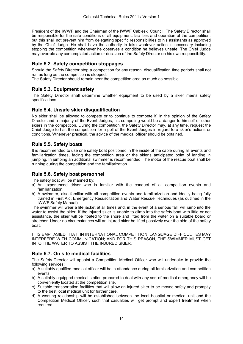President of the IWWF and the Chairman of the IWWF Cableski Council. The Safety Director shall be responsible for the safe conditions of all equipment, facilities and operation of the competition; but this shall not prevent him from delegating specific responsibilities to his assistants as approved by the Chief Judge. He shall have the authority to take whatever action is necessary including stopping the competition whenever he observes a condition he believes unsafe. The Chief Judge may overrule any contemplated action or decision of the Safety Director on his own responsibility.

#### **Rule 5.2. Safety competition stoppages**

Should the Safety Director stop a competition for any reason, disqualification time periods shall not run as long as the competition is stopped.

The Safety Director should remain near the competition area as much as possible.

#### **Rule 5.3. Equipment safety**

The Safety Director shall determine whether equipment to be used by a skier meets safety specifications.

#### **Rule 5.4. Unsafe skier disqualification**

No skier shall be allowed to compete or to continue to compete if, in the opinion of the Safety Director and a majority of the Event Judges, his competing would be a danger to himself or other skiers in the competition. During the competition, the Safety Director may, at any time, request the Chief Judge to halt the competition for a poll of the Event Judges in regard to a skier's actions or conditions. Whenever practical, the advice of the medical officer should be obtained.

#### **Rule 5.5. Safety boats**

It is recommended to use one safety boat positioned in the inside of the cable during all events and familiarization times, facing the competition area or the skier's anticipated point of landing in jumping. In jumping an additional swimmer is recommended. The motor of the rescue boat shall be running during the competition and the familiarization.

#### **Rule 5.6. Safety boat personnel**

The safety boat will be manned by:

- a) An experienced driver who is familiar with the conduct of all competition events and familiarization.
- b) A swimmer, also familiar with all competition events and familiarization and ideally being fully trained in First Aid, Emergency Resuscitation and Water Rescue Techniques (as outlined in the IWWF Safety Manual).

The swimmer will wear a life jacket at all times and, in the event of a serious fall, will jump into the water to assist the skier. If the injured skier is unable to climb into the safety boat with little or not assistance, the skier will be floated to the shore and lifted from the water on a suitable board or stretcher. Under no circumstances will an injured skier be lifted passively over the side of the safety boat.

IT IS EMPHASIED THAT, IN INTERNATIONAL COMPETITION, LANGUAGE DIFFICULTIES MAY INTERFERE WITH COMMUNICATION; AND FOR THIS REASON, THE SWIMMER MUST GET INTO THE WATER TO ASSIST THE INJURED SKIER.

#### **Rule 5.7. On site medical facilities**

The Safety Director will appoint a Competition Medical Officer who will undertake to provide the following services:

- a) A suitably qualified medical officer will be in attendance during all familiarization and competition events.
- b) A suitably equipped medical station prepared to deal with any sort of medical emergency will be conveniently located at the competition site.
- c) Suitable transportation facilities that will allow an injured skier to be moved safely and promptly to the best local medical unit for further care.
- d) A working relationship will be established between the local hospital or medical unit and the Competition Medical Officer, such that casualties will get prompt and expert treatment when required.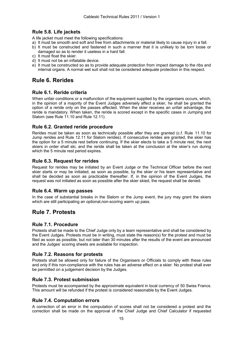#### **Rule 5.8. Life jackets**

A life jacket must meet the following specifications:

- a) It must be smooth and soft and free from attachments or material likely to cause injury in a fall.
- b) It must be constructed and fastened in such a manner that it is unlikely to be torn loose or damaged so as to render it useless in a hard fall.
- c) It must float the skier.
- d) It must not be an inflatable device.
- e) It must be constructed so as to provide adequate protection from impact damage to the ribs and internal organs. A normal wet suit shall not be considered adequate protection in this respect.

## **Rule 6. Rerides**

#### **Rule 6.1. Reride criteria**

When unfair conditions or a malfunction of the equipment supplied by the organisers occurs, which, in the opinion of a majority of the Event Judges adversely affect a skier, he shall be granted the option of a reride only on the passes affected. When the skier receives an unfair advantage, the reride is mandatory. When taken, the reride is scored except in the specific cases in Jumping and Slalom (see Rule [11.10](#page-20-0) and Rule [12.11\)](#page-23-0).

#### **Rule 6.2. Granted reride procedure**

Rerides must be taken as soon as technically possible after they are granted (c.f. Rule [11.10](#page-20-0) for Jump rerides and Rule [12.11](#page-23-0) for Slalom rerides). If consecutive rerides are granted, the skier has the option for a 5 minute rest before continuing. If the skier elects to take a 5 minute rest, the next skiers in order shall ski, and the reride shall be taken at the conclusion at the skier's run during which the 5 minute rest period expires.

#### **Rule 6.3. Request for rerides**

Request for rerides may be initiated by an Event Judge or the Technical Officer before the next skier starts or may be initiated, as soon as possible, by the skier or his team representative and shall be decided as soon as practicable thereafter. If, in the opinion of the Event Judges, the request was not initiated as soon as possible after the skier skied, the request shall be denied.

#### **Rule 6.4. Warm up passes**

In the case of substantial breaks in the Slalom or the Jump event, the jury may grant the skiers which are still participating an optional, non-scoring warm up pass.

## **Rule 7. Protests**

#### **Rule 7.1. Procedure**

Protests shall be made to the Chief Judge only by a team representative and shall be considered by the Event Judges. Protests must be in writing, must state the reason(s) for the protest and must be filed as soon as possible, but not later than 30 minutes after the results of the event are announced and the Judges' scoring sheets are available for inspection.

#### **Rule 7.2. Reasons for protests**

Protests shall be allowed only for failure of the Organisers or Officials to comply with these rules and only if this non-compliance with the rules has an adverse effect on a skier. No protest shall ever be permitted on a judgement decision by the Judges.

#### **Rule 7.3. Protest submission**

Protests must be accompanied by the approximate equivalent in local currency of 50 Swiss Francs. This amount will be refunded if the protest is considered reasonable by the Event Judges.

#### **Rule 7.4. Computation errors**

A correction of an error in the computation of scores shall not be considered a protest and the correction shall be made on the approval of the Chief Judge and Chief Calculator if requested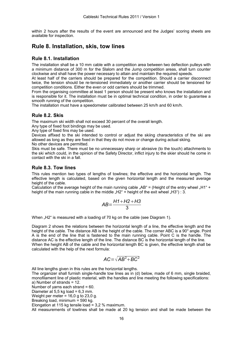within 2 hours after the results of the event are announced and the Judges' scoring sheets are available for inspection.

## **Rule 8. Installation, skis, tow lines**

#### **Rule 8.1. Installation**

The installation shall be a 10 mm cable with a competition area between two deflection pulleys with a minimum distance of 300 m for the Slalom and the Jump competition areas, shall turn counter clockwise and shall have the power necessary to attain and maintain the required speeds.

At least half of the carriers should be prepared for the competition. Should a carrier disconnect twice, the tension should be re-tensioned immediately or another carrier should be tensioned for competition conditions. Either the even or odd carriers should be trimmed.

From the organising committee at least 1 person should be present who knows the installation and is responsible for it. The installation must be in optimal technical condition, in order to guarantee a smooth running of the competition.

The installation must have a speedometer calibrated between 25 km/h and 60 km/h.

#### <span id="page-15-1"></span>**Rule 8.2. Skis**

The maximum ski width shall not exceed 30 percent of the overall length.

Any type of fixed foot bindings may be used.

Any type of fixed fins may be used.

Devices affixed to the ski intended to control or adjust the skiing characteristics of the ski are allowed as long as they are fixed in that they do not move or change during actual skiing. No other devices are permitted.

Skis must be safe. There must be no unnecessary sharp or abrasive (to the touch) attachments to the ski which could, in the opinion of the Safety Director, inflict injury to the skier should he come in contact with the ski in a fall.

#### <span id="page-15-0"></span>**Rule 8.3. Tow lines**

This rules mention two types of lengths of towlines; the effective and the horizontal length. The effective length is calculated, based on the given horizontal length and the measured average height of the cable.

Calculation of the average height of the main running cable " $AB'' = (Height of the entry wheel, H1'' +$ height of the main running cable in the middle  $H^2 +$  height of the exit wheel  $H^3$ : 3.

$$
AB=\frac{H1+H2+H3}{3}
$$

When ..H2" is measured with a loading of 70 kg on the cable (see Diagram 1).

Diagram 2 shows the relations between the horizontal length of a line, the effective length and the height of the cable. The distance AB is the height of the cable. The corner ABC is a 90 $^{\rm o}$  angle. Point A is the end of the line that is fastened to the main running cable. Point C is the handle. The distance AC is the effective length of the line. The distance BC is the horizontal length of the line. When the height AB of the cable and the horizontal length BC is given, the effective length shall be calculated with the help of the next formula:

$$
AC = \sqrt{AB^2 + BC^2}
$$

All line lengths given in this rules are the horizontal lengths.

The organizer shall furnish single-handle tow lines as in (d) below, made of 6 mm, single braided, monofilament line of plastic material, with the handles and line meeting the following specifications: a) Number of strands = 12.

Number of varns each strand  $= 60$ .

Diameter at  $5.5$  kg load =  $6.3$  mm.

Weight per meter =  $16,0$  g to 23,0 g.

Breaking load, minimum = 590 kg.

Elongation at 115 kg tensile load =  $3.2$  % maximum.

All measurements of towlines shall be made at 20 kg tension and shall be made between the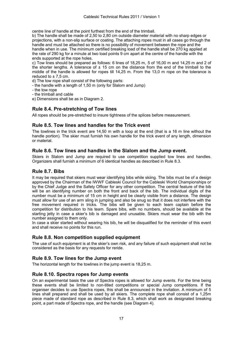centre line of handle at the point furthest from the end of the trimball.

b) The handle shall be made of 2,50 to 2,80 cm outside diameter material with no sharp edges or projections, with a non-slip surface or coating. The attaching ropes must in all cases go through the handle and must be attached so there is no possibility of movement between the rope and the handle when in use. The minimum certified breaking load of the handle shall be 270 kg applied at the rate of 290 kg for a minute at two load points 9 cm apart at the centre of the handle with the ends supported at the rope holes.

c) Tow lines should be prepared as follows: 6 lines of 18,25 m, 5 of 16,00 m and 14,25 m and 2 of the shorter lengths. A tolerance of  $\pm$  15 cm on the distance from the end of the trimball to the middle of the handle is allowed for ropes till 14,25 m. From the 13,0 m rope on the tolerance is reduced to  $\pm$  7,5 cm.

d) The tow rope shall consist of the following parts:

- the handle with a length of 1,50 m (only for Slalom and Jump)

- the tow rope

- the trimball and cable

e) Dimensions shall be as in Diagram 2.

#### **Rule 8.4. Pre-stretching of Tow lines**

All ropes should be pre-stretched to insure tightness of the splices before measurement.

#### **Rule 8.5. Tow lines and handles for the Trick event**

The towlines in the trick event are 14,50 m with a loop at the end (that is a 16 m line without the handle portion). The skier must furnish his own handle for the trick event of any length, dimension or material.

#### **Rule 8.6. Tow lines and handles in the Slalom and the Jump event.**

Skiers in Slalom and Jump are required to use competition supplied tow lines and handles. Organizers shall furnish a minimum of 6 identical handles as described in Rule [8.3.](#page-15-0)

#### **Rule 8.7. Bibs**

It may be required that skiers must wear identifying bibs while skiing. The bibs must be of a design approved by the Chairman of the IWWF Cableski Council for the Cableski World Championships or by the Chief Judge and the Safety Officer for any other competition. The central feature of the bib will be an identifying number on both the front and back of the bib. The individual digits of the number must be a minimum of 15 cm in height and be clearly visible from a distance. The design must allow for use of an arm sling in jumping and also be snug so that it does not interfere with the free movement required in tricks. The bibs will be given to each team captain before the competition for distribution to his team. Spare bibs, with no numbers, should be available at the starting jetty in case a skier's bib is damaged and unusable. Skiers must wear the bib with the number assigned to them only.

In case a skier started without wearing his bib, he will be disqualified for the reminder of this event and shall receive no points for this run.

#### **Rule 8.8. Non competition supplied equipment**

The use of such equipment is at the skier's own risk, and any failure of such equipment shall not be considered as the basis for any requests for reride.

#### **Rule 8.9. Tow lines for the Jump event**

The horizontal length for the towlines in the jump event is 18,25 m.

#### **Rule 8.10. Spectra ropes for Jump events**

On an experimental basis the use of Spectra ropes is allowed for Jump events. For the time being these events shall be limited to non-titled competitions or special Jump competitions. If the organiser decides to use Spectra ropes, this shall be announced in the invitation. A minimum of 5 lines shall prepared and shall be used by all skiers. The complete rope shall consist of a 1,25m piece made of standard rope as described in Rule [8.3,](#page-15-0) which shall work as designated breaking point, a part made of Spectra rope, and the handle (see Diagram 4).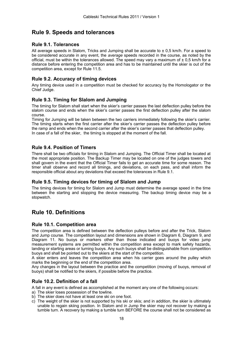## **Rule 9. Speeds and tolerances**

#### <span id="page-17-0"></span>**Rule 9.1. Tolerances**

All average speeds in Slalom, Tricks and Jumping shall be accurate to  $\pm$  0,5 km/h. For a speed to be considered accurate in any event, the *average* speeds recorded in the course, as noted by the official, must be within the tolerances allowed. The speed may vary a maximum of  $\pm$  0.5 km/h for a distance before entering the competition area and has to be maintained until the skier is out of the competition area, except for Rule [11.5.](#page-19-0)

#### **Rule 9.2. Accuracy of timing devices**

Any timing device used in a competition must be checked for accuracy by the Homologator or the Chief Judge.

#### <span id="page-17-3"></span>**Rule 9.3. Timing for Slalom and Jumping**

The timing for Slalom shall start when the skier's carrier passes the last deflection pulley before the slalom course and ends when the skier's carrier passes the first deflection pulley after the slalom course.

Timing for Jumping will be taken between the two carriers immediately following the skier's carrier. The timing starts when the first carrier after the skier's carrier passes the deflection pulley before the ramp and ends when the second carrier after the skier's carrier passes that deflection pulley. In case of a fall of the skier, the timing is stopped at the moment of the fall.

#### <span id="page-17-2"></span>**Rule 9.4. Position of Timers**

There shall be two officials for timing in Slalom and Jumping. The Official Timer shall be located at the most appropriate position. The Backup Timer may be located on one of the judges towers and shall govern in the event that the Official Timer fails to get an accurate time for some reason. The timer shall observe and record all timings, and deviations, on each pass, and shall inform the responsible official about any deviations that exceed the tolerances in Rule [9.1.](#page-17-0)

#### **Rule 9.5. Timing devices for timing of Slalom and Jump**

The timing devices for timing for Slalom and Jump must determine the average speed in the time between the starting and stopping the device measuring. The backup timing device may be a stopwatch.

## **Rule 10. Definitions**

#### **Rule 10.1. Competition area**

The competition area is defined between the deflection pulleys before and after the Trick, Slalom and Jump course. The competition layout and dimensions are shown in Diagram 6, Diagram 9, and Diagram 11. No buoys or markers other than those indicated and buoys for video jump measurement systems are permitted within the competition area except to mark safety hazards, landing or starting areas or turning buoys. Any such buoys shall be distinguishable from competition buoys and shall be pointed out to the skiers at the start of the competition.

A skier enters and leaves the competition area when his carrier goes around the pulley which marks the beginning or the end of the competition area.

Any changes in the layout between the practice and the competition (moving of buoys, removal of buoys) shall be notified to the skiers, if possible before the practice.

#### <span id="page-17-1"></span>**Rule 10.2. Definition of a fall**

A fall in any event is defined as accomplished at the moment any one of the following occurs:

- a) The skier loses possession of the towline.
- b) The skier does not have at least one ski on one foot.
- c) The weight of the skier is not supported by his ski or skis; and in addition, the skier is ultimately unable to regain skiing position. In Slalom and in Jump the skier may not recover by making a tumble turn. A recovery by making a tumble turn BEFORE the course shall not be considered as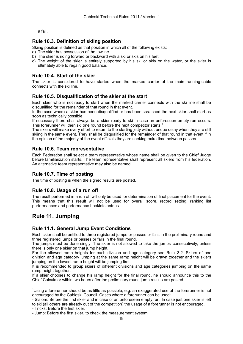<span id="page-18-2"></span>a fall.

#### **Rule 10.3. Definition of skiing position**

Skiing position is defined as that position in which all of the following exists:

- a) The skier has possession of the towline.
- b) The skier is riding forward or backward with a ski or skis on his feet.
- c) The weight of the skier is entirely supported by his ski or skis on the water, or the skier is ultimately able to regain good balance.

#### **Rule 10.4. Start of the skier**

The skier is considered to have started when the marked carrier of the main running-cable connects with the ski line.

#### **Rule 10.5. Disqualification of the skier at the start**

Each skier who is not ready to start when the marked carrier connects with the ski line shall be disqualified for the remainder of that round in that event.

In the case where a skier has been disqualified or has been scratched the next skier shall start as soon as technically possible.

If necessary there shall always be a skier ready to ski in case an unforeseen empty run occurs. This forerunner will then ski one round before the next competitor starts.<sup>[2](#page-18-1)</sup>

The skiers will make every effort to return to the starting jetty without undue delay when they are still skiing in the same event. They shall be disqualified for the remainder of that round in that event if in the opinion of the majority of the event officials they are seeking extra time between passes.

#### **Rule 10.6. Team representative**

Each Federation shall select a team representative whose name shall be given to the Chief Judge before familiarization starts. The team representative shall represent all skiers from his federation. An alternative team representative may also be named.

#### **Rule 10.7. Time of posting**

The time of posting is when the signed results are posted.

#### **Rule 10.8. Usage of a run off**

The result performed in a run off will only be used for determination of final placement for the event. This means that this result will not be used for overall score, record setting, ranking list performances and performance booklets entries.

## **Rule 11. Jumping**

#### <span id="page-18-0"></span>**Rule 11.1. General Jump Event Conditions**

Each skier shall be entitled to three registered jumps or passes or falls in the preliminary round and three registered jumps or passes or falls in the final round.

The jumps must be done singly. The skier is not allowed to take the jumps consecutively, unless there is only one skier on that jump height.

For the allowed ramp heights for each division and age category see Rule [3.2.](#page-10-0) Skiers of one division and age category jumping at the same ramp height will be drawn together and the skiers jumping on the lowest ramp height will be jumping first.

It is recommended to group skiers of different divisions and age categories jumping on the same ramp height together.

If a skier chooses to change his ramp height for the final round, he should announce this to the Chief Calculator within two hours after the preliminary round jump results are posted.

<span id="page-18-1"></span><sup>&</sup>lt;sup>2</sup>Using a forerunner should be as little as possible, e.g. an exaggerated use of the forerunner is not encouraged by the Cableski Council. Cases where a forerunner can be used:

<sup>-</sup> Slalom: Before the first skier and in case of an unforeseen empty run. In case just one skier is left to ski (all others are already out of the competition) the usage of a forerunner is not encouraged.

<sup>-</sup> Tricks: Before the first skier.

<sup>-</sup> Jump: Before the first skier, to check the measurement system.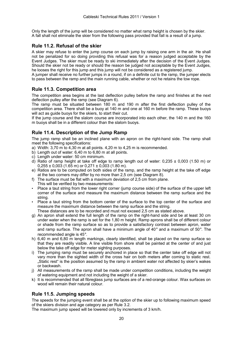Only the length of the jump will be considered no matter what ramp height is chosen by the skier. A fall shall not eliminate the skier from the following pass provided that fall is a result of a jump.

#### **Rule 11.2. Refusal of the skier**

A skier may refuse to enter the jump course on each jump by raising one arm in the air. He shall not be penalized for so doing providing this refusal was for a reason judged acceptable by the Event Judges. The skier must be ready to ski immediately after the decision of the Event Judges. Should the skier not be ready or should the reason be judged not acceptable by the Event Judges, he looses the right for this jump and this jump will not be considered as a registered jump.

A jumper shall receive no further jumps in a round, if on a definite cut to the ramp, the jumper elects to pass between the ramp and the main running cable, whether or not he retains the tow rope.

#### **Rule 11.3. Competition area**

The competition area begins at the last deflection pulley before the ramp and finishes at the next deflection pulley after the ramp (see Diagram 6).

The ramp must be situated between 180 m and 190 m after the first deflection pulley of the competition area. There shall be a buoy at 140 m and one at 160 m before the ramp. These buoys will act as guide buoys for the skiers, to start their cut.

If the jump course and the slalom course are incorporated into each other, the 140 m and the 160 m buoys shall be in a different colour than the slalom buoys.

#### <span id="page-19-1"></span>**Rule 11.4. Description of the Jump Ramp**

The jump ramp shall be an inclined plane with an apron on the right-hand side. The ramp shall meet the following specifications:

- a) Width: 3,70 m to 4,30 m at all points. 4,20 m to 4,25 m is recommended.
- b) Length out of water: 6,40 m to 6,80 m at all points.
- c) Length under water: 50 cm minimum.
- d) Ratio of ramp height at take off edge to ramp length out of water:  $0.235 \pm 0.003$  (1.50 m) or  $0,255 \pm 0,003$  (1.65 m) or  $0,271 \pm 0,003$  (1.80 m).
- e) Ratios are to be computed on both sides of the ramp, and the ramp height at the take off edge at the two corners may differ by no more than 2,5 cm (see Diagram 8).
- f) The surface must be flat with a maximum deviation of 2,5 cm from plane. This will be verified by two measurements:
- Place a taut string from the lower right corner (jump course side) of the surface of the upper left corner of the surface and measure the maximum distance between the ramp surface and the string.
- Place a taut string from the bottom center of the surface to the top center of the surface and measure the maximum distance between the ramp surface and the string. These distances are to be recorded and must not exceed 2,5 cm as stated above.
- g) An apron shall extend the full length of the ramp on the right-hand side and be at least 30 cm under water when the ramp is set for the 1,80 m height. Ramp aprons shall be of different colour or shade from the ramp surface so as to provide a satisfactory contrast between apron, water and ramp surface. The apron shall have a minimum angle of  $40^{\circ}$  and a maximum of  $50^{\circ}$ . The recommended angle is 45°.
- h) 6,40 m and 6,80 m length markings, clearly identified, shall be placed on the ramp surface so that they are readily visible. A line visible from shore shall be painted at the center of and just below the take off edge for meter sighting purposes.
- i) The jumping ramp must be securely anchored in place so that the center take off edge will not vary more than the sighted width of the cross hair on both meters after coming to static rest. "Static rest" is the position assumed by the ramp in ambient water not affected by skier's wakes or backwash.
- j) All measurements of the ramp shall be made under competition conditions, including the weight of watering equipment and not including the weight of a skier.
- k) It is recommended that all fibreglass jump surfaces are of a red-orange colour. Wax surfaces on wood will remain their natural colour.

#### <span id="page-19-0"></span>**Rule 11.5. Jumping speeds**

The speeds for the jumping event shall be at the option of the skier up to following maximum speed of the skiers division and age category as per Rule [3.2.](#page-10-0)

The maximum jump speed will be lowered only by increments of 3 km/h.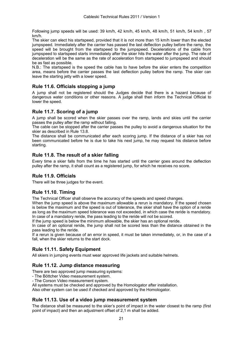Following jump speeds will be used: 39 km/h, 42 km/h, 45 km/h, 48 km/h, 51 km/h, 54 km/h , 57 km/h.

The skier can elect his startspeed, provided that it is not more than 15 km/h lower than the elected jumpspeed. Immediately after the carrier has passed the last deflection pulley before the ramp, the speed will be brought from the startspeed to the jumpspeed. Decelerations of the cable from jumpspeed to startspeed starts immediately after the skier hits the water after the jump. The rate of deceleration will be the same as the rate of acceleration from startspeed to jumpspeed and should be as fast as possible.

N.B.: The startspeed is the speed the cable has to have before the skier enters the competition area, means before the carrier passes the last deflection pulley before the ramp. The skier can leave the starting jetty with a lower speed.

#### **Rule 11.6. Officials stopping a jump**

A jump shall not be registered should the Judges decide that there is a hazard because of dangerous water conditions or other reasons. A judge shall then inform the Technical Official to lower the speed.

#### **Rule 11.7. Scoring of a jump**

A jump shall be scored when the skier passes over the ramp, lands and skies until the carrier passes the pulley after the ramp without falling.

The cable can be stopped after the carrier passes the pulley to avoid a dangerous situation for the skier as described in Rule [13.8.](#page-24-0)

The distance shall be communicated after each scoring jump. If the distance of a skier has not been communicated before he is due to take his next jump, he may request his distance before starting.

#### **Rule 11.8. The result of a skier falling**

Every time a skier falls from the time he has started until the carrier goes around the deflection pulley after the ramp, it shall count as a registered jump, for which he receives no score.

#### **Rule 11.9. Officials**

There will be three judges for the event.

#### <span id="page-20-0"></span>**Rule 11.10. Timing**

The Technical Officer shall observe the accuracy of the speeds and speed changes.

When the jump speed is above the maximum allowable a rerun is mandatory. If the speed chosen is below the maximum and the speed is out of tolerance, the skier shall have the option of a reride as long as the maximum speed tolerance was not exceeded, in which case the reride is mandatory. In case of a mandatory reride, the pass leading to the reride will not be scored.

If the jump speed is below the minimum allowable, the skier has an optional reride.

In case of an optional reride, the jump shall not be scored less than the distance obtained in the pass leading to the reride.

If a rerun is given because of an error in speed, it must be taken immediately, or, in the case of a fall, when the skier returns to the start dock.

#### **Rule 11.11. Safety Equipment**

All skiers in jumping events must wear approved life jackets and suitable helmets.

#### **Rule 11.12. Jump distance measuring**

There are two approved jump measuring systems:

- The Böttcher Video measurement system.

- The Corson Video measurement system.

All systems must be checked and approved by the Homologator after installation.

Also other system can be used if checked and approved by the Homologator.

#### **Rule 11.13. Use of a video jump measurement system**

The distance shall be measured to the skier's point of impact in the water closest to the ramp (first point of impact) and then an adjustment offset of 2,1 m shall be added.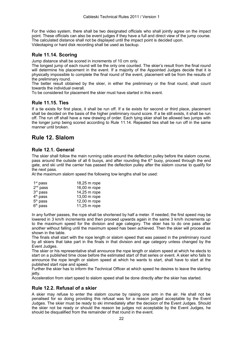For the video system, there shall be two designated officials who shall jointly agree on the impact point. These officials can also be event judges if they have a full and direct view of the jump course. The calculated distance shall not be displayed until the impact point is decided upon. Videotaping or hard disk recording shall be used as backup.

#### <span id="page-21-0"></span>**Rule 11.14. Scoring**

Jump distance shall be scored in increments of 10 cm only.

The longest jump of each round will be the only one counted. The skier's result from the final round will determine his placement in the event. If a majority of the Appointed Judges decide that it is physically impossible to complete the final round of the event, placement will be from the results of the preliminary round.

The better result obtained by the skier, in either the preliminary or the final round, shall count towards the individual overall.

To be considered for placement the skier must have started in this event.

#### **Rule 11.15. Ties**

If a tie exists for first place, it shall be run off. If a tie exists for second or third place, placement shall be decided on the basis of the higher preliminary round score. If a tie still exists, it shall be run off. The run off shall have a new drawing of order. Each tying skier shall be allowed two jumps with the longer jump being scored according to Rule [11.14.](#page-21-0) Repeated ties shall be run off in the same manner until broken.

## **Rule 12. Slalom**

#### <span id="page-21-1"></span>**Rule 12.1. General**

The skier shall follow the main running cable around the deflection pulley before the slalom course, pass around the outside of all 6 buoys, and after rounding the  $6<sup>th</sup>$  buoy, proceed through the end gate, and ski until the carrier has passed the deflection pulley after the slalom course to qualify for the next pass.

At the maximum slalom speed the following tow lengths shall be used:

| $1st$ pass           | 18,25 m rope |
|----------------------|--------------|
| $2nd$ pass           | 16,00 m rope |
| 3rd pass             | 14,25 m rope |
| 4 <sup>th</sup> pass | 13,00 m rope |
| $5th$ pass           | 12,00 m rope |
| 6 <sup>th</sup> pass | 11,25 m rope |

In any further passes, the rope shall be shortened by half a meter. If needed, the first speed may be lowered in 3 km/h increments and then proceed upwards again in the same 3 km/h increments up to the maximum speed for the division and age category. The skier has to do one pass after another without falling until the maximum speed has been achieved. Then the skier will proceed as shown in the table.

The finals shall start with the rope length or slalom speed that was passed in the preliminary round by all skiers that take part in the finals in that division and age category unless changed by the Event Judges.

The skier or his representative shall announce the rope length or slalom speed at which he elects to start on a published time close before the estimated start of that series or event. A skier who fails to announce the rope length or slalom speed at which he wants to start, shall have to start at the published start rope and speed.

Further the skier has to inform the Technical Officer at which speed he desires to leave the starting jetty.

Acceleration from start speed to slalom speed shall be done directly after the skier has started.

#### **Rule 12.2. Refusal of a skier**

A skier may refuse to enter the slalom course by raising one arm in the air. He shall not be penalised for so doing providing this refusal was for a reason judged acceptable by the Event Judges. The skier must be ready to ski immediately after the decision of the Event Judges. Should the skier not be ready or should the reason be judges not acceptable by the Event Judges, he should be disqualified from the remainder of that round in the event.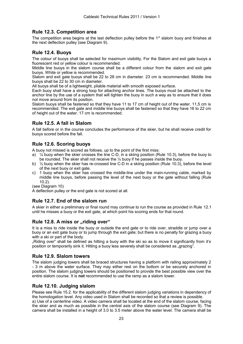#### **Rule 12.3. Competition area**

The competition area begins at the last deflection pulley before the 1<sup>st</sup> slalom buoy and finishes at the next deflection pulley (see Diagram 9).

#### <span id="page-22-2"></span>**Rule 12.4. Buoys**

The colour of buoys shall be selected for maximum visibility. For the Slalom and exit gate buoys a fluorescent red or yellow colour is recommended.

Middle line buoys in the slalom course shall be a different colour from the slalom and exit gate buoys. White or yellow is recommended.

Slalom and exit gate buoys shall be 22 to 28 cm in diameter. 23 cm is recommended. Middle line buoys shall be 22 to 30 cm in diameter.

All buoys shall be of a lightweight, pliable material with smooth exposed surface.

Each buoy shall have a strong loop for attaching anchor lines. The buoys must be attached to the anchor line by the use of a system that will tighten the buoy in such a way as to ensure that it does not move around from its position.

Slalom buoys shall be fastened so that they have 11 to 17 cm of height out of the water. 11,5 cm is recommended. The exit gate and middle line buoys shall be fastened so that they have 16 to 22 cm of height out of the water. 17 cm is recommended.

#### **Rule 12.5. A fall in Slalom**

A fall before or in the course concludes the performance of the skier, but he shall receive credit for buoys scored before the fall.

#### **Rule 12.6. Scoring buoys**

A buoy not missed is scored as follows, up to the point of the first miss:

- a) ¼ buoy when the skier crosses the line C-D, in a skiing position (Rule [10.3\)](#page-18-2), before the buoy to be rounded. The skier shall not receive the ¼ buoy if he passes inside the buoy.
- b) ½ buoy when the skier has re-crossed line C-D in a skiing position (Rule [10.3\)](#page-18-2), before the level of the next buoy or exit gate.
- c) 1 buoy when the skier has crossed the middle-line under the main-running cable, marked by middle line buoys, before passing the level of the next buoy or the gate without falling (Rule [10.2\)](#page-17-1).

(see Diagram 10)

A deflection pulley or the end gate is not scored at all.

#### **Rule 12.7. End of the slalom run**

A skier in either a preliminary or final round may continue to run the course as provided in Rule [12.1](#page-21-1) until he misses a buoy or the exit gate, at which point his scoring ends for that round.

#### **Rule 12.8. A miss or "riding over"**

It is a miss to ride inside the buoy or outside the end gate or to ride over, straddle or jump over a buoy or an exit gate buoy or to jump through the exit gate; but there is no penalty for grazing a buoy with a ski or part of the body.

"Riding over" shall be defined as hitting a buoy with the ski so as to move it significantly from it's position or temporarily sink it. Hitting a buoy less severely shall be considered as "grazing".

#### <span id="page-22-1"></span>**Rule 12.9. Slalom towers**

The slalom judging towers shall be braced structures having a platform with railing approximately 2 - 3 m above the water surface. They may either rest on the bottom or be securely anchored in position. The slalom judging towers should be positioned to provide the best possible view over the entire slalom course. It is **not** recommended to use the ramp as a slalom tower.

#### <span id="page-22-0"></span>**Rule 12.10. Judging slalom**

Please see [Rule 15.2. f](#page-30-0)or the applicability of the different slalom judging variations in dependency of the homologation level. Any video used in Slalom shall be recorded so that a review is possible. a) Use of a centerline video. A video camera shall be located at the end of the slalom course, facing the skier and as much as possible in the central axis of the slalom course (see Diagram 9). The camera shall be installed in a height of 3.0 to 3.5 meter above the water level. The camera shall be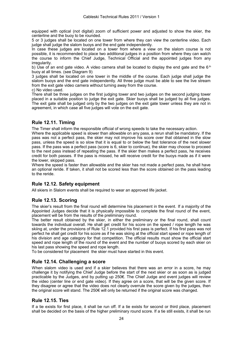equipped with optical (not digital) zoom of sufficient power and adjusted to show the skier, the centerline and the buoy to be rounded.

5 or 3 judges shall be located on one tower from where they can view the centerline video. Each judge shall judge the slalom buoys and the end gate independently.

In case these judges are located on a tower from where a view on the slalom course is not possible, it is recommended to place two additional judges in a position from where they can watch the course to inform the Chief Judge, Technical Official and the appointed judges from any irregularity.

b) Use of an end gate video. A video camera shall be located to display the end gate and the  $6<sup>th</sup>$ buoy at all times. (see Diagram 9)

3 judges shall be located on one tower in the middle of the course. Each judge shall judge the slalom buoys and the end gate independently. All three judge must be able to see the live stream from the exit gate video camera without turning away from the course.

c) No video used.

There shall be three judges on the first judging tower and two judges on the second judging tower placed in a suitable position to judge the exit gate. Skier buoys shall be judged by all five judges. The exit gate shall be judged only by the two judges on the exit gate tower unless they are not in agreement, in which case all five judges will vote on the exit gate.

#### <span id="page-23-0"></span>**Rule 12.11. Timing**

The Timer shall inform the responsible official of wrong speeds to take the necessary action.

Where the applicable speed is slower than allowable on any pass, a rerun shall be mandatory. If the pass was not a perfect pass, the skier may not improve his score over that obtained in the slow pass, unless the speed is so slow that it is equal to or below the fast tolerance of the next slower pass. If the pass was a perfect pass (score is 6, skier to continue), the skier may choose to proceed to the next pass instead of repeating the pass. If the skier then makes a perfect pass, he receives credit for both passes. If the pass is missed, he will receive credit for the buoys made as if it were the lower, skipped pass.

Where the speed is faster than allowable and the skier has not made a perfect pass, he shall have an optional reride. If taken, it shall not be scored less than the score obtained on the pass leading to the reride.

#### **Rule 12.12. Safety equipment**

All skiers in Slalom events shall be required to wear an approved life jacket.

#### **Rule 12.13. Scoring**

The skier's result from the final round will determine his placement in the event. If a majority of the Appointed Judges decide that it is physically impossible to complete the final round of the event, placement will be from the results of the preliminary round.

The better result obtained by the skier, in either the preliminary or the final round, shall count towards the individual overall. He shall get credit for his score on the speed / rope length he was skiing at, under the provisions of Rule [12.1](#page-21-1) provided his first pass is perfect. If his first pass was not perfect he shall get credit for his score as if he was skiing at the official start speed or rope length of his division and age category for that competition. The official results must show the official start speed and rope length of the round of the event and the number of buoys scored by each skier on his last pass showing the speed and rope length.

To be considered for placement the skier must have started in this event.

#### **Rule 12.14. Challenging a score**

When slalom video is used and if a skier believes that there was an error in a score, he may challenge it by notifying the Chief Judge before the start of the next skier or as soon as is judged practicable by the Judges, and by putting up 250€. The Chief Judge and event judges will review the video (center line or end gate video). If they agree on a score, that will be the given score. If they disagree or agree that the video does not clearly overrule the score given by the judges, then the original score will stand. The 250€ will only be returned if the original score was changed.

#### **Rule 12.15. Ties**

If a tie exists for first place, it shall be run off. If a tie exists for second or third place, placement shall be decided on the basis of the higher preliminary round score. If a tie still exists, it shall be run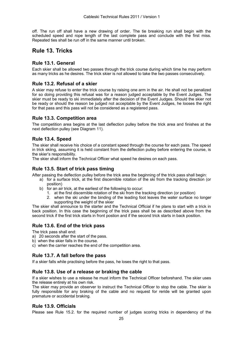off. The run off shall have a new drawing of order. The tie breaking run shall begin with the scheduled speed and rope length of the last complete pass and conclude with the first miss. Repeated ties shall be run off in the same manner until broken.

## **Rule 13. Tricks**

#### **Rule 13.1. General**

Each skier shall be allowed two passes through the trick course during which time he may perform as many tricks as he desires. The trick skier is not allowed to take the two passes consecutively.

#### **Rule 13.2. Refusal of a skier**

A skier may refuse to enter the trick course by raising one arm in the air. He shall not be penalized for so doing providing this refusal was for a reason judged acceptable by the Event Judges. The skier must be ready to ski immediately after the decision of the Event Judges. Should the skier not be ready or should the reason be judged not acceptable by the Event Judges, he looses the right for that pass and this pass will not be considered as a registered pass.

#### **Rule 13.3. Competition area**

The competition area begins at the last deflection pulley before the trick area and finishes at the next deflection pulley (see Diagram 11).

#### **Rule 13.4. Speed**

The skier shall receive his choice of a constant speed through the course for each pass. The speed in trick skiing, assuming it is held constant from the deflection pulley before entering the course, is the skier's responsibility.

The skier shall inform the Technical Officer what speed he desires on each pass.

#### **Rule 13.5. Start of trick pass timing**

After passing the deflection pulley before the trick area the beginning of the trick pass shall begin:

- <span id="page-24-1"></span>a) for a surface trick, at the first discernible rotation of the ski from the tracking direction (or position)
- b) for an air trick, at the earliest of the following to occur:
	- 1. at the first discernible rotation of the ski from the tracking direction (or position)
	- 2. when the ski under the binding of the leading foot leaves the water surface no longer supporting the weight of the skier

The skier shall announce to the starter and the Technical Official if he plans to start with a trick in back position. In this case the beginning of the trick pass shall be as described above from the second trick if the first trick starts in front postion and if the second trick starts in back position.

#### **Rule 13.6. End of the trick pass**

The trick pass shall end:

- a) 20 seconds after the start of the pass.
- b) when the skier falls in the course.
- c) when the carrier reaches the end of the competition area.

#### **Rule 13.7. A fall before the pass**

If a skier falls while practising before the pass, he loses the right to that pass.

#### <span id="page-24-0"></span>**Rule 13.8. Use of a release or braking the cable**

If a skier wishes to use a release he must inform the Technical Officer beforehand. The skier uses the release entirely at his own risk.

The skier may provide an observer to instruct the Technical Officer to stop the cable. The skier is fully responsible for any braking of the cable and no request for reride will be granted upon premature or accidental braking.

#### <span id="page-24-2"></span>**Rule 13.9. Officials**

Please see [Rule 15.2. f](#page-30-0)or the required number of judges scoring tricks in dependency of the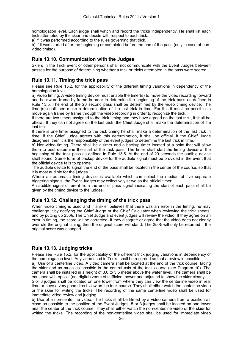homologation level. Each judge shall watch and record the tricks independently. He shall list each trick attempted by the skier and decide with respect to each trick:

a) if it was performed according to the rules governing that trick.

b) if it was started after the beginning or completed before the end of the pass (only in case of nonvideo timing).

#### **Rule 13.10. Communication with the Judges**

Skiers in the Trick event or other persons shall not communicate with the Event Judges between passes for the purpose of determining whether a trick or tricks attempted in the pass were scored.

#### **Rule 13.11. Timing the trick pass**

Please see [Rule 15.2. f](#page-30-0)or the applicability of the different timing variations in dependency of the homologation level.

a) Video timing. A video timing device must enable the timer(s) to move the video recording forward and backward frame by frame in order to determine the beginning of the trick pass as defined in Rule [13.5.](#page-24-1) The end of the 20 second pass shall be determined by the video timing device. The timer(s) shall then make a determination of the last trick in time. For this it must be possible to move again frame by frame through the video recording in order to recognize the trick.

If there are two timers assigned to the trick timing and they have agreed on the last trick, it shall be official. If they can not agree on the last trick, the Chief Judge shall make the determination of the last trick.

If there is one timer assigned to the trick timing he shall make a determination of the last trick in time. If the Chief Judge agrees with this determination, it shall be official. If the Chief Judge disagrees, then it is the responsibility of the event judges to determine the last trick in time.

b) Non-video timing. There shall be a timer and a backup timer located at a point that will allow them to best determine the start of the trick pass. The timer shall start the timing device at the beginning of the trick pass as defined in Rule [13.5.](#page-24-1) At the end of 20 seconds the audible device shall sound. Some form of backup device for the audible signal must be provided in the event that the official device fails to operate.

The audible device to signal the end of the pass shall be located in the center of the course, so that it is most audible for the judges.

Where an automatic timing device is available which can select the median of five separate triggering signals, the Event Judges may collectively serve as the official timer.

An audible signal different from the end of pass signal indicating the start of each pass shall be given by the timing device to the judges.

#### **Rule 13.12. Challenging the timing of the trick pass**

When video timing is used and if a skier believes that there was an error in the timing, he may challenge it by notifying the Chief Judge or the Chief Calculator when reviewing the trick sheets, and by putting up 250€. The Chief Judge and event judges will review the video. If they agree on an error in timing, the score will be corrected. If they disagree or agree that the video does not clearly overrule the original timing, then the original score will stand. The 250€ will only be returned if the original score was changed.

#### <span id="page-25-0"></span>**Rule 13.13. Judging tricks**

Please see [Rule 15.2. f](#page-30-0)or the applicability of the different trick judging variations in dependency of the homologation level. Any video used in Tricks shall be recorded so that a review is possible. a) Use of a centerline video. A video camera shall be located at the end of the trick course, facing the skier and as much as possible in the central axis of the trick course (see Diagram 10). The camera shall be installed in a height of 3.0 to 3.5 meter above the water level. The camera shall be equipped with optical (not digital) zoom of sufficient power and adjusted to show the skier clearly.

5 or 3 judges shall be located on one tower from where they can view the centerline video in real time or have a very good direct view on the trick course. They shall either watch the centerline video or the skier for writing the tricks. The recording of the same centerline video shall be used for immediate video review and judging.

b) Use of a non-centerline video. The tricks shall be filmed by a video camera from a position as close as possible to the position of the Event Judges. 5 or 3 judges shall be located on one tower near the center of the trick course. They shall either watch the non-centerline video or the skier for writing the tricks. The recording of the non-centerline video shall be used for immediate video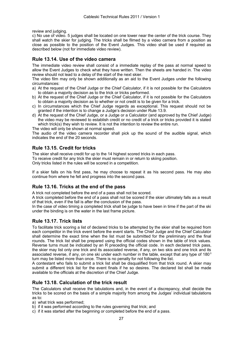review and judging.

c) No use of video. 5 judges shall be located on one tower near the center of the trick course. They shall watch the skier for judging. The tricks shall be filmed by a video camera from a position as close as possible to the position of the Event Judges. This video shall be used if required as described below (not for immediate video review).

#### **Rule 13.14. Use of the video camera**

The immediate video review shall consist of a immediate replay of the pass at normal speed to allow the Event Judges to check what they have written. Then the sheets are handed in. The video review should not lead to a delay of the start of the next skier.

The video film may only be shown additionally as an aid to the Event Judges under the following circumstances:

- a) At the request of the Chief Judge or the Chief Calculator, if it is not possible for the Calculators to obtain a majority decision as to the trick or tricks performed.
- b) At the request of the Chief Judge or the Chief Calculator, if it is not possible for the Calculators to obtain a majority decision as to whether or not credit is to be given for a trick.
- c) In circumstances which the Chief Judge regards as exceptional. This request should not be granted if the intention is to change a Judge's decision under Rule [13.9.](#page-24-2)
- d) At the request of the Chief Judge, or a Judge or a Calculator (and approved by the Chief Judge) the video may be reviewed to establish credit or no credit of a trick or tricks provided it is stated which trick(s) they wish to review. It is not the intention to review the entire run.

The video will only be shown at normal speed.

The audio of the video camera recorder shall pick up the sound of the audible signal, which indicates the end of the 20 seconds.

#### **Rule 13.15. Credit for tricks**

The skier shall receive credit for up to the 14 highest scored tricks in each pass.

To receive credit for any trick the skier must remain in or return to skiing position.

Only tricks listed in the rules will be scored in a competition.

If a skier falls on his first pass, he may choose to repeat it as his second pass. He may also continue from where he fell and progress into the second pass.

#### **Rule 13.16. Tricks at the end of the pass**

A trick not completed before the end of a pass shall not be scored.

A trick completed before the end of a pass shall not be scored if the skier ultimately falls as a result of that trick, even if the fall is after the conclusion of the pass.

In the case of video timing a completed trick shall be judge to have been in time if the part of the ski under the binding is on the water in the last frame picture.

#### <span id="page-26-0"></span>**Rule 13.17. Trick lists**

To facilitate trick scoring a list of declared tricks to be attempted by the skier shall be required from each competitor in the trick event before the event starts. The Chief Judge and the Chief Calculator shall determine the exact time when the list must be submitted for the preliminary and the final rounds. The trick list shall be prepared using the official codes shown in the table of trick values. Reverse turns must be indicated by an R preceding the official code. In each declared trick pass, the skier may list only one trick and its associated reverse, if any, on two skis and one trick and its associated reverse, if any, on one ski under each number in the table, except that any type of 180<sup>0</sup> turn may be listed more than once. There is no penalty for not following the list.

A contestant who fails to submit a trick list shall be disqualified from that trick round. A skier may submit a different trick list for the event finals if he so desires. The declared list shall be made available to the officials at the discretion of the Chief Judge.

#### **Rule 13.18. Calculation of the trick result**

The Calculators shall receive the tabulations and, in the event of a discrepancy, shall decide the tricks to be scored on the basis of a simple majority from among the Judges' individual tabulations as to:

- a) what trick was performed;
- b) if it was performed according to the rules governing that trick; and
- c) if it was started after the beginning or completed before the end of a pass.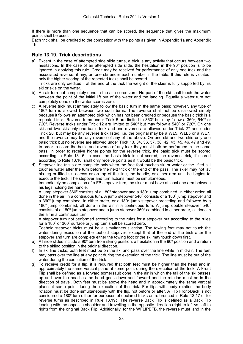If there is more than one sequence that can be scored, the sequence that gives the maximum points shall be used.

Each trick shall be credited to the competitor with the points as given in Appendix 1a and Appendix 1b.

#### <span id="page-27-0"></span>**Rule 13.19. Trick descriptions**

a) Except in the case of attempted side slide turns, a trick is any activity that occurs between two hesitations. In the case of an attempted side slide, the hesitation in the  $90^{\circ}$  position is to be ignored in applying this rule. Credit may be received for performance of only one trick and the associated reverse, if any, on one ski under each number in the table. If this rule is violated, only the higher scoring of the repeated tricks shall be scored.

Tricks are only credited if at the end of the trick the weight of the skier is fully supported by his ski or skis on the water.

- b) An air turn not completely done in the air scores zero. No part of the ski shall touch the water between the point of the initial lift out of the water and the landing. Equally a water turn not completely done on the water scores zero.
- c) A reverse trick must immediately follow the basic turn in the same pass; however, any type of  $180^\circ$  turn is allowed between two such turns. The reverse shall not be disallowed simply because it follows an attempted trick which has not been credited or because the basic trick is a repeated trick. Reverse turns under Trick 5 are limited to  $360^{\circ}$  but may follow a  $360^{\circ}$ ,  $540^{\circ}$  or 720<sup>°</sup>. Reverse tricks under Trick 12 are limited to 540<sup>°</sup> but may follow a 540<sup>°</sup> or 720<sup>°</sup>. On one ski and two skis only one basic trick and one reverse are allowed under Trick 27 and under Trick 28, but may be any reverse trick listed, i.e. the original may be a WL5, WLL5 or a WL7, and the reverse may be any reverse of any of the above. On one ski and two skis only one basic trick but no reverse are allowed under Trick 13, 34, 36, 37, 38, 42, 43, 45, 46, 47 and 49. In order to score the basic and reverse of any trick they must both be performed in the same pass. In order to receive higher points for the reverse trick, the basic trick must be scored according to Rule 13.16. In case the basic trick is not scored, the reverse trick, if scored according to Rule 13.16, shall only receive points as if it would be the basic trick.
- d) Stepover line tricks are complete only when the free foot touches ski or water or the lifted ski touches water after the turn before the next trick or the end of the pass. The skier may not lay his leg or lifted ski across or on top of the line, the handle, or either arm until he begins to execute the trick. The stepover and turn actions must be simultaneous.

Immediately on completion of a FB stepover turn, the skier must have at least one arm between his legs holding the handle.

A jump stepover 360<sup>°</sup> consists of a 180<sup>°</sup> stepover and a 180<sup>°</sup> jump combined, in either order, all done in the air, in a continuous turn. A jump stepover 540<sup>°</sup> consists of a 180<sup>°</sup> jump stepover and a 360<sup>o</sup> jump combined, in either order, or a 180<sup>o</sup> jump stepover preceding and followed by a 180 $^{\circ}$  jump combined, all done in the air in a continuous turn. A jump double stepover 540 $^{\circ}$ consists of a 180<sup>°</sup> jump stepover and a jump stepover 360<sup>°</sup> combined in either order, all done in the air in a continuous turn.

A stepover turn not performed according to the rules for a stepover but according to the rules for a 180 $^{\circ}$  or 360 $^{\circ}$  surface or jump turn shall be scored zero.

Toehold stepover tricks must be a simultaneous action. The towing foot may not touch the water during execution of the toehold stepover. except that at the end of the trick after the stepover and turn are complete either the towing foot or the ski may touch down first.

- e) All side slides include a 90<sup>°</sup> turn from skiing position, a hesitation in the 90<sup>°</sup> position and a return to the skiing position in the original direction.
- f) In ski line tricks, both feet must be on the ski and pass over the line while in mid-air. The feet may pass over the line at any point during the execution of the trick. The line must be out of the water during the execution of the trick.
- g) To receive credit for a flip, it is required that both feet must be higher than the head and in approximately the same vertical plane at some point during the execution of the trick. A Front Flip shall be defined as a forward somersault done in the air in which the tail of the ski passes up and over the head as the head goes down and forward and the rotation must be in the direction of travel. Both feet must be above the head and in approximately the same vertical plane at some point during the execution of the trick. For flips with body rotation the body rotation must be done simultaneously with the flip, not before or after. A Flip Front-Back is not considered a 180<sup>°</sup> turn either for purposes of declared tricks as referenced in Rule [13.17](#page-26-0) or for reverse turns as described in Rule [13.19c](#page-27-0). The reverse Back Flip is defined as a Back Flip leading with the opposite shoulder and travelling in the opposite direction (right to left vs. left to right) from the original Back Flip. Additionally, for the WFLIPBFB, the reverse must land in the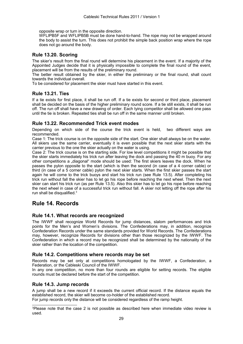opposite wrap or turn in the opposite direction.

WFLIPB5F and WFLIPB5B must be done hand-to-hand. The rope may not be wrapped around the body to assist the turn. This does not prohibit the simple back position wrap where the rope does not go around the body.

#### **Rule 13.20. Scoring**

The skier's result from the final round will determine his placement in the event. If a majority of the Appointed Judges decide that it is physically impossible to complete the final round of the event, placement will be from the results of the preliminary round.

The better result obtained by the skier, in either the preliminary or the final round, shall count towards the individual overall.

To be considered for placement the skier must have started in this event.

#### **Rule 13.21. Ties**

If a tie exists for first place, it shall be run off. If a tie exists for second or third place, placement shall be decided on the basis of the higher preliminary round score. If a tie still exists, it shall be run off. The run off shall have a new drawing of order. Each tying competitor shall be allowed one pass until the tie is broken. Repeated ties shall be run off in the same manner until broken.

#### **Rule 13.22. Recommended Trick event modes**

Depending on which side of the course the trick event is held, two different ways are recommended.

Case 1: The trick course is on the opposite side of the start. One skier shall always be on the water. All skiers use the same carrier, eventually it is even possible that the next skier starts with the carrier previous to the one the skier actually on the water is using.

Case 2: The trick course is on the starting side. For low level competitions it might be possible that the skier starts immediately his trick run after leaving the dock and passing the 40 m buoy. For any other competitions a "diagonal" mode should be used: The first skiers leaves the dock. When he passes the pylon opposite to the start (which is then the second (in case of a 4 corner cable) or third (in case of a 5 corner cable) pylon the next skier starts. When the first skier passes the start again he will come to the trick buoys and start his trick run (see Rule [13.5\)](#page-24-1). After completing his trick run without fall the skier has to let go his rope before reaching the next wheel. Then the next skier can start his trick run (as per Rule [13.5\)](#page-24-1). Also this skier has to let go his rope before reaching the next wheel in case of a successful trick run without fall. A skier not letting off the rope after his run shall be disqualified.<sup>[3](#page-28-0)</sup>

## <span id="page-28-1"></span>**Rule 14. Records**

#### **Rule 14.1. What records are recognized**

The IWWF shall recognize World Records for jump distances, slalom performances and trick points for the Men's and Women's divisions. The Confederations may, in addition, recognize Confederation Records under the same standards provided for World Records. The Confederations may, however, recognize Records for divisions other than those recognized by the IWWF. The Confederation in which a record may be recognized shall be determined by the nationality of the skier rather than the location of the competition.

#### **Rule 14.2. Competitions where records may be set**

Records may be set only at competitions homologated by the IWWF, a Confederation, a Federation, or the Cableski Council of the IWWF.

In any one competition, no more than four rounds are eligible for setting records. The eligible rounds must be declared before the start of the competition.

#### **Rule 14.3. Jump records**

A jump shall be a new record if it exceeds the current official record. If the distance equals the established record, the skier will become co-holder of the established record.

For jump records only the distance will be considered regardless of the ramp height.

<span id="page-28-0"></span><sup>&</sup>lt;sup>3</sup>Please note that the case 2 is not possible as described here when immediate video review is used.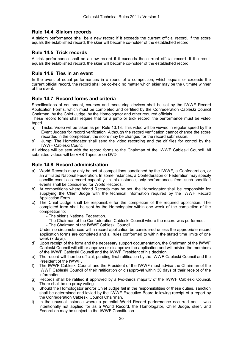#### **Rule 14.4. Slalom records**

A slalom performance shall be a new record if it exceeds the current official record. If the score equals the established record, the skier will become co-holder of the established record.

#### **Rule 14.5. Trick records**

A trick performance shall be a new record if it exceeds the current official record. If the result equals the established record, the skier will become co-holder of the established record.

#### **Rule 14.6. Ties in an event**

In the event of equal performances in a round of a competition, which equals or exceeds the current official record, the record shall be co-held no matter which skier may be the ultimate winner of the event.

#### **Rule 14.7. Record forms and criteria**

Specifications of equipment, courses and measuring devices shall be set by the IWWF Record Application Forms, which must be completed and certified by the Confederation Cableski Council Chairman, by the Chief Judge, by the Homologator and other required officials.

These record forms shall require that for a jump or trick record, the performance must be video taped.

- a) Tricks. Video will be taken as per Rule [13.13.](#page-25-0) This video will be viewed in regular speed by the Event Judges for record verification. Although the record verification cannot change the score recorded in the competition, the score may be changed for the record submission.
- b) Jump: The Homologator shall send the video recording and the gif files for control by the IWWF Cableski Council.

All videos will be sent with the record forms to the Chairman of the IWWF Cableski Council. All submitted videos will be VHS Tapes or on DVD.

#### **Rule 14.8. Record administration**

- a) World Records may only be set at competitions sanctioned by the IWWF, a Confederation, or an affiliated National Federation. In some instances, a Confederation or Federation may specify specific events as record capability. In this instance, only performances from such specified events shall be considered for World Records.
- b) At competitions where World Records may be set, the Homologator shall be responsible for supplying the Chief Judge with the technical information required by the IWWF Record Application Form.
- c) The Chief Judge shall be responsible for the completion of the required application. The completed form shall be sent by the Homologator within one week of the completion of the competition to:
	- The skier's National Federation.
	- The Chairman of the Confederation Cableski Council where the record was performed.
	- The Chairman of the IWWF Cableski Council.

Under no circumstances will a record application be considered unless the appropriate record application forms are completed and all rules conformed to within the stated time limits of one week (7 days).

- d) Upon receipt of the form and the necessary support documentation, the Chairman of the IWWF Cableski Council will either approve or disapprove the application and will advise the members of the IWWF Cableski Council and the IWWF President of his decision.
- e) The record will then be official, pending final ratification by the IWWF Cableski Council and the President of the IWWF.
- f) The IWWF Cableski Council and the President of the IWWF must advise the Chairman of the IWWF Cableski Council of their ratification or disapproval within 30 days of their receipt of the information.
- g) Records shall be ratified if approved by a two-thirds majority of the IWWF Cableski Council. There shall be no proxy voting.
- h) Should the Homologator and/or Chief Judge fail in the responsibilities of these duties, sanction shall be determined and levied by the IWWF Executive Board following receipt of a report by the Confederation Cableski Council Chairman.
- i) In the unusual instance where a potential World Record performance occurred and it was intentionally not applied for as a World Record, the Homologator, Chief Judge, skier, and Federation may be subject to the IWWF Constitution.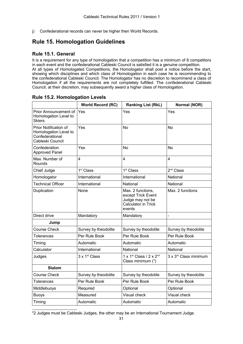j) Confederational records can never be higher then World Records.

## **Rule 15. Homologation Guidelines**

#### **Rule 15.1. General**

It is a requirement for any type of homologation that a competition has a minimum of 8 competitors in each event and the confederational Cableski Council is satisfied it is a genuine competition. At all types of Homologated Competitions, the Homologator shall post a notice before the start, showing which disciplines and which class of Homologation in each case he is recommending to the confederational Cableski Council. The Homologator has no discretion to recommend a class of Homologation if all the requirements are not completely fulfilled. The confederational Cableski Council, at their discretion, may subsequently award a higher class of Homologation.

|                                                                                       | <b>World Record (RC)</b>  | <b>Ranking List (RkL)</b>                                                                           | Normal (NOR)          |
|---------------------------------------------------------------------------------------|---------------------------|-----------------------------------------------------------------------------------------------------|-----------------------|
| Prior Announcement of<br>Homologation Level to<br><b>Skiers</b>                       | Yes                       | Yes                                                                                                 | Yes                   |
| Prior Notification of<br>Homologation Level to<br>Confederational<br>Cableski Council | Yes                       | <b>No</b>                                                                                           | <b>No</b>             |
| Confederation<br><b>Approved Panel</b>                                                | Yes                       | <b>No</b>                                                                                           | <b>No</b>             |
| Max. Number of<br>Rounds                                                              | 4                         | $\overline{4}$                                                                                      | 4                     |
| Chief Judge                                                                           | 1 <sup>st</sup> Class     | 1 <sup>st</sup> Class                                                                               | 2 <sup>nd</sup> Class |
| Homologator                                                                           | International             | International                                                                                       | National              |
| <b>Technical Officer</b>                                                              | International             | National                                                                                            | National              |
| Duplication                                                                           | None                      | Max. 2 functions,<br>except Trick Event<br>Judge may not be<br><b>Calculator in Trick</b><br>events | Max. 2 functions      |
| Direct drive                                                                          | Mandatory                 | Mandatory                                                                                           |                       |
| Jump                                                                                  |                           |                                                                                                     |                       |
| <b>Course Check</b>                                                                   | Survey by theodolite      | Survey by theodolite                                                                                | Survey by theodolite  |
| Tolerances                                                                            | Per Rule Book             | Per Rule Book                                                                                       | Per Rule Book         |
| Timing                                                                                | Automatic                 | Automatic                                                                                           | Automatic             |
| Calculator                                                                            | International             | National                                                                                            | National              |
| Judges                                                                                | 3 x 1 <sup>st</sup> Class | 1 x 1st Class / 2 x 2nd<br>Class minimum $(4)$                                                      | 3 x 3rd Class minimum |
| <b>Slalom</b>                                                                         |                           |                                                                                                     |                       |
| <b>Course Check</b>                                                                   | Survey by theodolite      | Survey by theodolite                                                                                | Survey by theodolite  |
| <b>Tolerances</b>                                                                     | Per Rule Book             | Per Rule Book                                                                                       | Per Rule Book         |
| Middlebuoys                                                                           | Required                  | Optional                                                                                            | Optional              |
| <b>Buoys</b>                                                                          | Measured                  | Visual check                                                                                        | Visual check          |
| Timing                                                                                | Automatic                 | Automatic                                                                                           | Automatic             |

#### <span id="page-30-0"></span>**Rule 15.2. Homologation Levels**

<span id="page-30-1"></span><sup>4</sup>2 Judges must be Cableski Judges, the other may be an International Tournament Judge.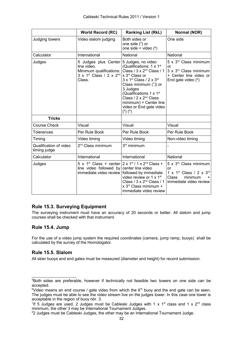|                                        | <b>World Record (RC)</b>                                                                                                                                 | <b>Ranking List (RkL)</b>                                                                                                                                                                                                                                                                                                                    | Normal (NOR)                                                                                                                          |
|----------------------------------------|----------------------------------------------------------------------------------------------------------------------------------------------------------|----------------------------------------------------------------------------------------------------------------------------------------------------------------------------------------------------------------------------------------------------------------------------------------------------------------------------------------------|---------------------------------------------------------------------------------------------------------------------------------------|
| Judging towers                         | Video slalom judging                                                                                                                                     | Both sides or<br>one side $(^5)$ or<br>one side + video $(^6)$                                                                                                                                                                                                                                                                               | One side                                                                                                                              |
| Calculator                             | International                                                                                                                                            | National                                                                                                                                                                                                                                                                                                                                     | National                                                                                                                              |
| Judges                                 | 5 Judges plus Center 5 Judges, no video<br>line video.<br>Minimum qualifications:<br>3 x 1st Class / 2 x 2nd<br>Class.                                   | (Qualifications: 1 x 1 <sup>st</sup><br>Class / 3 x 2 <sup>nd</sup> Class / 1<br>x 3rd Class or<br>$3 \times 1^{st}$ Class / $2 \times 3^{rd}$<br>Class minimum $(7)$ ) or<br>3 Judges<br>(Qualifications 1 x 1 <sup>st</sup><br>Class / 2 x 2 <sup>nd</sup> Class<br>minimum) + Center line<br>video or End gate video<br>$(^{8})$ $(^{6})$ | 5 x 3rd Class minimum<br><b>or</b><br>3 x 3rd Class minimum<br>+ Center line video or<br>End gate video $(^6)$                        |
| <b>Tricks</b>                          |                                                                                                                                                          |                                                                                                                                                                                                                                                                                                                                              |                                                                                                                                       |
| <b>Course Check</b>                    | Visual                                                                                                                                                   | Visual                                                                                                                                                                                                                                                                                                                                       | Visual                                                                                                                                |
| <b>Tolerances</b>                      | Per Rule Book                                                                                                                                            | Per Rule Book                                                                                                                                                                                                                                                                                                                                | Per Rule Book                                                                                                                         |
| Timing                                 | Video timing                                                                                                                                             | Video timing                                                                                                                                                                                                                                                                                                                                 | Non-video timing                                                                                                                      |
| Qualification of video<br>timing judge | 2 <sup>nd</sup> Class minimum                                                                                                                            | 3 <sup>rd</sup> minimum                                                                                                                                                                                                                                                                                                                      |                                                                                                                                       |
| Calculator                             | International                                                                                                                                            | International                                                                                                                                                                                                                                                                                                                                | National                                                                                                                              |
| Judges                                 | 5 x 1 <sup>st</sup> Class + center $2 \times 1^{st}$ / 1 x 2 <sup>nd</sup> Class +<br>line video followed by center line video<br>immediate video review | followed by immediate<br>video review or 1 x 1 <sup>st</sup><br>Class / 3 x 2 <sup>nd</sup> Class / 1<br>x 3 <sup>rd</sup> Class minimum +<br>immediate video review                                                                                                                                                                         | 5 x 3rd Class minimum<br>or<br>1 x 1 <sup>st</sup> Class / 2 x 3 <sup>rd</sup><br>Class<br>minimum<br>$\pm$<br>immediate video review |

#### **Rule 15.3. Surveying Equipment**

The surveying instrument must have an accuracy of 20 seconds or better. All slalom and jump courses shall be checked with that instrument.

#### **Rule 15.4. Jump**

For the use of a video jump system the required coordinates (camera, jump ramp, buoys) shall be calculated by the survey of the Homologator.

#### **Rule 15.5. Slalom**

All skier buoys and end gates must be measured (diameter and height) for record submission.

<span id="page-31-1"></span><sup>&</sup>lt;sup>5</sup>Both sides are preferable, however if technically not feasible two towers on one side can be accepted.

<span id="page-31-0"></span><sup>&</sup>lt;sup>6</sup>Video means an end course / gate video from which the  $6<sup>th</sup>$  buoy and the end gate can be seen. The judges must be able to see the video stream live on the judges tower. In this case one tower is acceptable in the region of buoy nbr. 3.

<span id="page-31-2"></span><sup>&</sup>lt;sup>7</sup>If 5 Judges are used, 2 Judges must be Cableski Judges with 1 x 1<sup>st</sup> class and 1 x 2<sup>nd</sup> class minimum, the other 3 may be International Tournament Judges.

<span id="page-31-3"></span><sup>&</sup>lt;sup>8</sup>2 Judges must be Cableski Judges, the other may be an International Tournament Judge.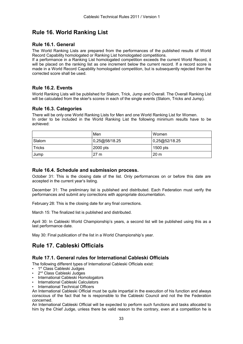## **Rule 16. World Ranking List**

#### **Rule 16.1. General**

The World Ranking Lists are prepared from the performances of the published results of World Record Capability homologated or Ranking List homologated competitions.

If a performance in a Ranking List homologated competition exceeds the current World Record, it will be placed on the ranking list as one increment below the current record. If a record score is made in a World Record Capability homologated competition, but is subsequently rejected then the corrected score shall be used.

#### **Rule 16.2. Events**

World Ranking Lists will be published for Slalom, Trick, Jump and Overall. The Overall Ranking List will be calculated from the skier's scores in each of the single events (Slalom, Tricks and Jump).

#### **Rule 16.3. Categories**

There will be only one World Ranking Lists for Men and one World Ranking List for Women. In order to be included in the World Ranking List the following minimum results have to be achieved:

|        | Men             | Women           |
|--------|-----------------|-----------------|
| Slalom | 0,25@58/18.25   | 0,25@52/18.25   |
| Tricks | 2000 pts        | 1500 pts        |
| Jump   | 27 <sub>m</sub> | 20 <sub>m</sub> |

#### **Rule 16.4. Schedule and submission process.**

October 31: This is the closing date of the list. Only performances on or before this date are accepted in the current year's listing.

December 31: The preliminary list is published and distributed. Each Federation must verify the performances and submit any corrections with appropriate documentation.

February 28: This is the closing date for any final corrections.

March 15: The finalized list is published and distributed.

April 30: In Cableski World Championship's years, a second list will be published using this as a last performance date.

May 30: Final publication of the list in a World Championship's year.

## **Rule 17. Cableski Officials**

#### **Rule 17.1. General rules for International Cableski Officials**

The following different types of International Cableski Officials exist:

- 1st Class Cableski Judges
- 2<sup>nd</sup> Class Cableski Judges
- International Cableski Homologators
- International Cableski Calculators
- International Technical Officers

An International Cableski Official must be quite impartial in the execution of his function and always conscious of the fact that he is responsible to the Cableski Council and not the the Federation concerned.

An International Cableski Official will be expected to perform such functions and tasks allocated to him by the Chief Judge, unless there be valid reason to the contrary, even at a competition he is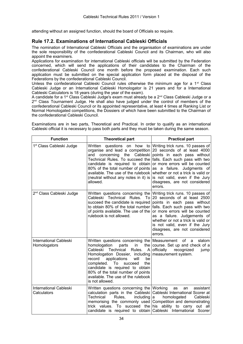attending without an assigned function, should the board of Officials so require.

#### **Rule 17.2. Examinations of International Cableski Officials**

The nomination of International Cableski Officials and the organisation of examinations are under the sole responsibility of the confederational Cableski Council and its Chairman, who will also appoint the examiners.

Applications for examination for international Cableski officials will be submitted by the Federation concerned, which will send the applications of their candidates to the Chairman of the confederational Cableski Council one month before the proposed examination. Each such application must be submitted on the special application form placed at the disposal of the Federations by the confederational Cableski Council.

Unless the confederational Cableski Council rules otherwise the minimum age for a  $1<sup>st</sup>$  Class Cableski Judge or an International Cableski Homologator is 21 years and for a International Cableski Calculators is 18 years (during the year of the exam).

A candidate for a 1<sup>st</sup> Class Cableski Judge's exam must already be a  $2<sup>nd</sup>$  Class Cableski Judge or a 2<sup>nd</sup> Class Tournament Judge. He shall also have judged under the control of members of the confederational Cableski Council or its appointed representative, at least 4 times at Ranking List or Normal Homologated competitions, the Dossiers of which have been submitted to the Chairman of the confederational Cableski Council.

Examinations are in two parts, Theoretical and Practical. In order to qualify as an international Cableski official it is necessary to pass both parts and they must be taken during the same season.

| <b>Function</b>                              | <b>Theoretical part</b>                                                                                                                                                                                                                                                                                                                                                                  | <b>Practical part</b>                                                                                                                                                                                                                                                                                                 |
|----------------------------------------------|------------------------------------------------------------------------------------------------------------------------------------------------------------------------------------------------------------------------------------------------------------------------------------------------------------------------------------------------------------------------------------------|-----------------------------------------------------------------------------------------------------------------------------------------------------------------------------------------------------------------------------------------------------------------------------------------------------------------------|
| 1 <sup>st</sup> Class Cableski Judge         | Written questions on how to Writing trick runs. 10 passes of<br>organise and lead a competition 20 seconds of at least 4000<br>concerning the<br>and<br>Technical Rules. To succeed the falls. Each such pass with two<br>candidate is required to obtain<br>80% of the total number of points<br>available. The use of the rulebook<br>(neutral without any notes in it) is<br>allowed. | Cableski points in each pass without<br>or more errors will be counted<br>as a failure. Judgments of<br>whether or not a trick is valid or<br>is not valid, even if the Jury<br>disagrees, are not considered<br>errors.                                                                                              |
| 2 <sup>nd</sup> Class Cableski Judge         | Written questions concerning the<br>Cableski Technical Rules.<br>T٥<br>succeed the candidate is required<br>to obtain 80% of the total number<br>of points available. The use of the<br>rulebook is not allowed.                                                                                                                                                                         | Writing trick runs. 10 passes of<br>20 seconds of at least 2500<br>points in each pass without<br>falls. Each such pass with two<br>or more errors will be counted<br>as a failure. Judgements of<br>whether or not a trick is valid or<br>is not valid, even if the Jury<br>disagrees, are not considered<br>errors. |
| International Cableski<br>Homologators       | Written questions concerning the Measurement<br>homologation<br>in<br>parts<br>Rules.<br>Cableski<br>Technical<br>Homologation Dossier, including<br>applications<br>will<br>be<br>record<br>To<br>completed.<br>succeed<br>the<br>candidate is required to obtain<br>80% of the total number of points<br>available. The use of the rulebook<br>is not allowed.                         | of<br>slalom<br>a<br>the course. Set up and check of a<br>A officially<br>recognized<br>jump<br>measurement system.                                                                                                                                                                                                   |
| <b>International Cableski</b><br>Calculators | Written questions concerning the Working<br>calculation parts in the Cableski Cableski International Scorer at<br>including a<br>Rules,<br>Technical<br>memorising the commonly used Competition and demonstrating<br>trick values. To succeed the his<br>candidate is required to obtain Cableski International Scorer                                                                  | assistant<br>as<br>an<br>homologated<br>Cableski<br>ability to carry<br>out all                                                                                                                                                                                                                                       |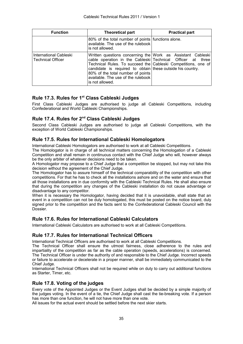| <b>Function</b>                                    | <b>Theoretical part</b>                                                                                                                                                                                                                                                                                                                                | <b>Practical part</b> |  |
|----------------------------------------------------|--------------------------------------------------------------------------------------------------------------------------------------------------------------------------------------------------------------------------------------------------------------------------------------------------------------------------------------------------------|-----------------------|--|
|                                                    | 80% of the total number of points functions alone.<br>available. The use of the rulebook<br>is not allowed.                                                                                                                                                                                                                                            |                       |  |
| International Cableski<br><b>Technical Officer</b> | Written questions concerning the Work as Assistant Cableski<br>cable operation in the Cableski Technical Officer at three<br>Technical Rules. To succeed the Cableski Competitions, one of<br>candidate is required to obtain these outside his country.<br>80% of the total number of points<br>available. The use of the rulebook<br>is not allowed. |                       |  |

#### **Rule 17.3. Rules for 1st Class Cableski Judges**

First Class Cableski Judges are authorised to judge all Cableski Competitions, including Confederational and World Cableski Championships.

#### **Rule 17.4. Rules for 2nd Class Cableski Judges**

Second Class Cableski Judges are authorised to judge all Cableski Competitions, with the exception of World Cableski Championships.

#### **Rule 17.5. Rules for International Cableski Homologators**

International Cableski Homologators are authorised to work at all Cableski Competitions.

The Homologator is in charge of all technical matters concerning the Homologation of a Cableski Competition and shall remain in continuous contact with the Chief Judge who will, however always be the only arbiter of whatever decisions need to be taken.

A Homologator may propose to a Chief Judge that a competition be stopped, but may not take this decision without the agreement of the Chief Judge.

The Homologator has to assure himself of the technical comparability of the competition with other competitions. For that he has to check all the installations ashore and on the water and ensure that all those installations are in due conformity with the Cableski Technical Rules. He shall also ensure that during the competition any changes of the Cableski installation do not cause advantage or disadvantage to any competitor.

When it is necessary the Homologator, having decided that it is unavoidable, shall state that an event in a competition can not be duly homologated, this must be posted on the notice board, duly signed prior to the competition and the facts sent to the Confederational Cableski Council with the Dossier.

#### **Rule 17.6. Rules for International Cableski Calculators**

International Cableski Calculators are authorised to work at all Cableski Competitions.

#### **Rule 17.7. Rules for International Technical Officers**

International Technical Officers are authorised to work at all Cableski Competitions.

The Technical Officer shall ensure the utmost fairness, close adherence to the rules and impartiality of the competition as far as the cable operation (speeds, accelerations) is concerned. The Technical Officer is under the authority of and responsible to the Chief Judge. Incorrect speeds or failure to accelerate or decelerate in a proper manner, shall be immediately communicated to the Chief Judge.

International Technical Officers shall not be required while on duty to carry out additional functions as Starter, Timer, etc.

#### **Rule 17.8. Voting of the judges**

Every vote of the Appointed Judges or the Event Judges shall be decided by a simple majority of the judges voting. In the event of a tie, the Chief Judge shall cast the tie-breaking vote. If a person has more than one function, he will not have more than one vote.

All issues for the actual event should be settled before the next skier starts.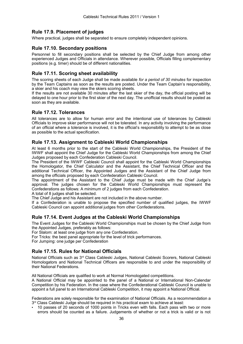#### **Rule 17.9. Placement of judges**

Where practical, judges shall be separated to ensure completely independent opinions.

#### **Rule 17.10. Secondary positions**

Personnel to fill secondary positions shall be selected by the Chief Judge from among other experienced Judges and Officials in attendance. Wherever possible, Officials filling complementary positions (e.g. timer) should be of different nationalities.

#### **Rule 17.11. Scoring sheet availability**

The scoring sheets of each Judge shall be made available *for a period of 30 minutes* for inspection by the Team Captains as soon as the results are posted. Under the Team Captain's responsibility, a skier and his coach may view the skiers scoring sheets.

If the results are not available 30 minutes after the last skier of the day, the official posting will be delayed to one hour prior to the first skier of the next day. The unofficial results should be posted as soon as they are available.

#### **Rule 17.12. Tolerances**

All tolerances are to allow for human error and the intentional use of tolerances by Cableski Officials to improve skier performance will not be tolerated. In any activity involving the performance of an official where a tolerance is involved, it is the official's responsibility to attempt to be as close as possible to the actual specification.

#### **Rule 17.13. Assignment to Cableski World Championships**

At least 6 months prior to the start of the Cableski World Championships, the President of the IWWF shall appoint the Chief Judge for the Cableski World Championships from among the Chief Judges proposed by each Confederation Cableski Council.

The President of the IWWF Cableski Council shall appoint for the Cableski World Championships the Homologator, the Chief Calculator and the Assistant, the Chief Technical Officer and the additional Technical Officer, the Appointed Judges and the Assistant of the Chief Judge from among the officials proposed by each Confederation Cableski Council.

The appointment of the Assistant to the Chief Judge must be made with the Chief Judge's approval. The judges chosen for the Cableski World Championships must represent the Confederations as follows: A minimum of 2 judges from each Confederation.

A total of 8 judges shall be selected.

The Chief Judge and his Assistant are not included in the above number.

If a Confederation is unable to propose the specified number of qualified judges, the IWWF Cableski Council can appoint additional judges from other Confederations.

#### **Rule 17.14. Event Judges at the Cableski World Championships**

The Event Judges for the Cableski World Championships must be chosen by the Chief Judge from the Appointed Judges, preferably as follows:

For Slalom: at least one judge from any one Confederation.

For Tricks: the best panel appropriate for the level of trick performances.

For Jumping: one judge per Confederation

#### **Rule 17.15. Rules for National Officials**

National Officials such as 3rd Class Cableski Judges, National Cableski Scorers, National Cableski Homologators and National Technical Officers are responsible to and under the responsibility of their National Federations.

All National Officials are qualified to work at Normal Homologated competitions.

A National Official may be appointed to the panel of a National or International Non-Calendar Competition by his Federation. In the case where the Confederational Cableski Council is unable to appoint a full panel to an International Cableski Competition, it may appoint a National Official.

Federations are solely responsible for the examination of National Officials. As a recommendation a  $3<sup>rd</sup>$  Class Cableski Judge should be required in his practical exam to achieve at least:

• 10 passes of 20 seconds of 1000 points in Tricks even with falls. Each pass with two or more errors should be counted as a failure. Judgements of whether or not a trick is valid or is not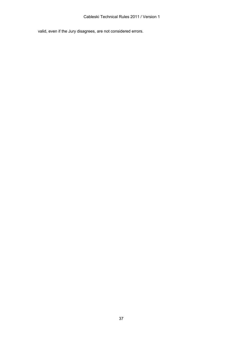valid, even if the Jury disagrees, are not considered errors.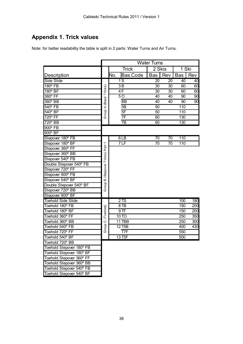## **Appendix 1. Trick values**

Note: for better readability the table is split in 2 parts: Water Turns and Air Turns.

|                           | <b>Water Turns</b>               |     |                     |                 |                 |            |     |
|---------------------------|----------------------------------|-----|---------------------|-----------------|-----------------|------------|-----|
|                           |                                  |     | <b>Trick</b>        | 2 Skis          |                 | 1 Ski      |     |
| Description               |                                  | No. | Bas.Code            | <b>Bas</b>      | Rev             | <b>Bas</b> | Rev |
| Side Slide                |                                  |     | $\overline{1S}$     | $\overline{20}$ | $\overline{20}$ | 40         | 40  |
| $180°$ FB                 |                                  |     | 3B                  | 30              | 30              | 60         | 60  |
| $180°$ BF                 |                                  |     | 4F                  | 30              | 30              | 60         | 60  |
| 360° FF                   |                                  |     | 5O                  | 40              | 40              | 90         | 90  |
| 360° BB                   |                                  |     | <b>BB</b>           | 40              | 40              | 90         | 90  |
| 540° FB                   | Group A (Basic Tricks)           |     | 5B                  | 50              |                 | 110        |     |
| $540^{\circ}$ BF          |                                  |     | 5F                  | 50              |                 | 110        |     |
| 720° FF                   |                                  |     | $\overline{7}$ F    | 60              |                 | 130        |     |
| $720°$ BB                 |                                  |     | 7B                  | 60              |                 | 130        |     |
| 900° FB                   |                                  |     |                     |                 |                 |            |     |
| 900° BF                   |                                  |     |                     |                 |                 |            |     |
| Stepover 180° FB          |                                  |     | 6LB                 | $\overline{70}$ | $\overline{70}$ | 110        |     |
| Stepover 180° BF          |                                  |     | 7LF                 | 70              | 70              | 110        |     |
| Stepover 360° FF          |                                  |     |                     |                 |                 |            |     |
| Stepover 360° BB          |                                  |     |                     |                 |                 |            |     |
| Stepover 540° FB          | Group B (Stepover Tricks) Part 1 |     |                     |                 |                 |            |     |
| Double Stepover 540° FB   |                                  |     |                     |                 |                 |            |     |
| Stepover 720° FF          |                                  |     |                     |                 |                 |            |     |
| Stepover 900° FB          |                                  |     |                     |                 |                 |            |     |
| Stepover 540° BF          |                                  |     |                     |                 |                 |            |     |
| Double Stepover 540° BF   |                                  |     |                     |                 |                 |            |     |
| Stepover 720° BB          |                                  |     |                     |                 |                 |            |     |
| Stepover 900° BF          |                                  |     |                     |                 |                 |            |     |
| <b>Toehold Side Slide</b> |                                  |     | 2TS                 |                 |                 | 100        | 180 |
| Toehold 180° FB           |                                  |     | 8TB                 |                 |                 | 150        | 200 |
| Toehold 180° BF           |                                  |     | 9TF                 |                 |                 | 150        | 200 |
| Toehold 360° FF           | Group C (Toehold)                |     | 10 TO               |                 |                 | 250        | 350 |
| Toehold 360° BB           |                                  |     | 11 TBB              |                 |                 | 250        | 300 |
| Toehold 540° FB           |                                  |     | 12 T <sub>5</sub> B |                 |                 | 400        | 430 |
| Toehold 720° FF           |                                  |     | T7F                 |                 |                 | 550        |     |
| Toehold 540° BF           |                                  |     | 13 T <sub>5F</sub>  |                 |                 | 500        |     |
| Toehold 720° BB           |                                  |     |                     |                 |                 |            |     |
| Toehold Stepover 180° FB  |                                  |     |                     |                 |                 |            |     |
| Toehold Stepover 180° BF  |                                  |     |                     |                 |                 |            |     |
| Toehold Stepover 360° FF  |                                  |     |                     |                 |                 |            |     |
| Toehold Stepover 360° BB  |                                  |     |                     |                 |                 |            |     |
| Toehold Stepover 540° FB  |                                  |     |                     |                 |                 |            |     |
| Toehold Stepover 540° BF  |                                  |     |                     |                 |                 |            |     |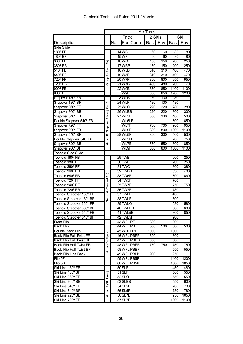|                                |                                  |     |                        | Air Turns  |            |             |             |
|--------------------------------|----------------------------------|-----|------------------------|------------|------------|-------------|-------------|
|                                |                                  |     | <b>Trick</b>           | 2 Skis     |            | 1 Ski       |             |
| Description                    |                                  | No. | Bas.Code               | <b>Bas</b> | Rev        | <b>Bas</b>  | Rev         |
| <b>Side Slide</b>              |                                  |     |                        |            |            |             |             |
| $180^\circ$ FB                 |                                  |     | $14$ WB                | 60         | 60         | 80          | 80          |
| $180°$ BF                      |                                  |     | $15\,\mathrm{WF}$      | 60         | 60         | 80          | 80          |
| 360° FF                        |                                  |     | <b>16 WO</b>           | 150        | 150        | 200         | 250         |
| $360^\circ$ BB                 | Group F (Basic Air)              |     | 17 WBB                 | 150        | 150        | 200         | 250         |
| $540^\circ$ FB                 |                                  |     | 18 W <sub>5</sub> B    | 310        | 310        | 400         | 470         |
| $540^{\circ}$ BF               |                                  |     | 19 W <sub>5F</sub>     | 310        | 310        | 400         | 470         |
| $720^{\circ}$ FF               |                                  |     | 20 W7F                 | 800        | 800        | 950         | 950         |
| $720^\circ$ BB                 |                                  |     | 21 W7B                 | 480        | 480        | 700         | 770         |
| 900° FB                        |                                  |     | 22 W9B                 | 850        | 850        | 1100        | 1100        |
| 900° BF                        |                                  |     | W <sub>9F</sub>        | 850        | 850        | 1200        | 1200        |
| Stepover 180° FB               |                                  |     | 23 WLB                 | 130        | 130        | 180         |             |
| Stepover 180° BF               |                                  |     | 24 WLF                 | 130        | 130        | 180         |             |
| Stepover 360° FF               |                                  |     | $25$ WLO               | 220        | 220        | 280         | 280         |
| Stepover 360° BB               |                                  |     | 26 WLBB                |            |            |             |             |
|                                |                                  |     |                        | 220        | 220        | 300         | 300<br>500  |
| Stepover 540° FB               |                                  |     | 27 WL5B<br>WL5LB       | 330        | 330        | 480         |             |
| Double Stepover 540° FB        | Group B (Stepover Tricks) Part 2 |     | WL7F                   |            | 700        | 600         | 650         |
| Stepover 720° FF               |                                  |     |                        | 700        |            | 900         | 950         |
| Stepover 900° FB               |                                  |     | WL9B<br><b>28 WL5F</b> | 800<br>300 | 800<br>300 | 1000<br>500 | 1100<br>530 |
| Stepover 540° BF               |                                  |     |                        |            |            |             |             |
| Double Stepover 540° BF        |                                  |     | WL5LF                  |            |            | 700         | 750         |
| Stepover 720° BB               |                                  |     | WL7B                   | 550        | 550        | 800         | 850         |
| Stepover 900° BF               |                                  |     | WL9F                   | 800        | 800        | 1000        | 1100        |
| <b>Toehold Side Slide</b>      |                                  |     |                        |            |            |             |             |
| Toehold 180° FB                |                                  |     | 29 TWB                 |            |            | 200         | 250         |
| Toehold 180° BF                |                                  |     | 30 TWF                 |            |            | 200         | 250         |
| Toehold 360° FF                |                                  |     | 31 TWO                 |            |            | 300         | 380         |
| Toehold 360° BB                |                                  |     | 32 TWBB                |            |            | 330         | 400         |
| Toehold 540° FB                |                                  |     | 33 TW5B                |            |            | 600         | 660         |
| Toehold 720° FF                | Group G (Toehold Air)            |     | 34 TW5F                |            |            | 700         |             |
| Toehold 540° BF                |                                  |     | 35 TW7F                |            |            | 750         | 750         |
| Toehold 720° BB                |                                  |     | 36 TW7B                |            |            | 780         |             |
| Toehold Stepover 180° FB       |                                  |     | 37 TWLB                |            |            | 400         |             |
| Toehold Stepover 180° BF       |                                  |     | 38 TWLF                |            |            | 500         |             |
| Toehold Stepover 360° FF       |                                  |     | 39 TWLO                |            |            | 580         | 580         |
| Toehold Stepover 360° BB       |                                  |     | 40 TWLBB               |            |            | 560         | 600         |
| Toehold Stepover 540° FB       |                                  |     | 41 TWL5B               |            |            | 800         | 850         |
| Toehold Stepover 540° BF       |                                  |     | 42 TWL5F               |            |            | 900         |             |
| <b>Front Flip</b>              |                                  |     | 43 WFLIPF              | 800        |            | 800         |             |
| <b>Back Flip</b>               |                                  |     | 44 WFLIPB              | 500        | 500        | 500         | 500         |
| Double Back Flip               |                                  |     | 45 WDFLIPB             | 1000       |            | 1000        |             |
| Back Flip Full Twist FF        |                                  |     | 46 WFLIPBFF            | 800        |            | 800         |             |
| <b>Back Flip Full Twist BB</b> |                                  |     | 47 WFLIPBBB            | 800        |            | 800         |             |
| <b>Back Flip Half Twist FB</b> |                                  |     | 48 WFLIPBFB            | 750        | 750        | 750         | 750         |
| Back Flip Half Twist BF        | Group D (Flips)                  |     | 58 WFLIPBBF            |            |            | 550         | 550         |
| Back Flip Line Back            |                                  |     | 49 WFLIPBLB            | 900        |            | 950         |             |
| Flip 5F                        |                                  |     | 59 WFLIPB5F            |            |            | 1100        | 1200        |
| Flip 5B                        |                                  |     | 60 WFLIPB5B            |            |            | 1000        | 1050        |
| Ski Line 180° FB               |                                  |     | $50$ SLB               |            |            | 450         | 480         |
| Ski Line 180° BF               |                                  |     | $51$ SLF               |            |            | 500         | 550         |
| Ski Line 360° FF               |                                  |     | 52 SLO                 |            |            | 550         | 550         |
| Ski Line 360° BB               | Group E (Ski Lines)              |     | 53 SLBB                |            |            | 550         | 600         |
| Ski Line 540° FB               |                                  |     | 54 SL5B                |            |            | 700         | 730         |
| Ski Line 540° BF               |                                  |     | 55 SL5F                |            |            | 730         | 780         |
| Ski Line 720° BB               |                                  |     | 56 SL7B                |            |            | 950         | 1050        |
| Ski Line 720° FF               |                                  |     | 57 SL7F                |            |            | 1000        | 1100        |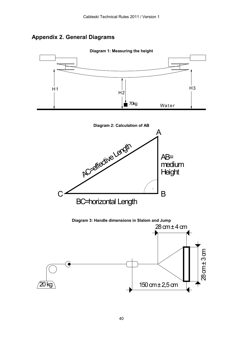## <span id="page-39-1"></span>**Appendix 2. General Diagrams**

<span id="page-39-0"></span>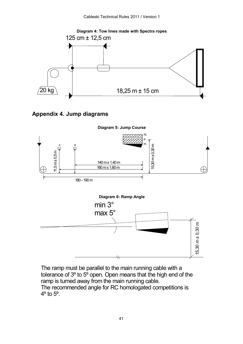<span id="page-40-0"></span>

## **Appendix 4. Jump diagrams**

<span id="page-40-1"></span>

The ramp must be parallel to the main running cable with a tolerance of 3º to 5º open. Open means that the high end of the ramp is turned away from the main running cable. The recommended angle for RC homologated competitions is  $4^{\circ}$  to  $5^{\circ}$ .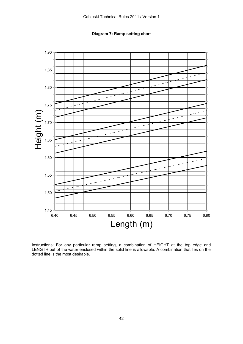**Diagram 7: Ramp setting chart**



Instructions: For any particular ramp setting, a combination of HEIGHT at the top edge and LENGTH out of the water enclosed within the solid line is allowable. A combination that lies on the dotted line is the most desirable.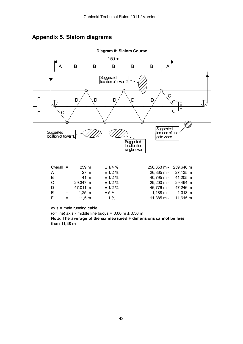## **Appendix 5. Slalom diagrams**



<span id="page-42-0"></span>**Diagram 8: Slalom Course**

axis = main running cable

**Note: The average of the six measured F dimensions cannot be less than 11,48 m** (off line) axis - middle line buoys =  $0.00 \text{ m} \pm 0.30 \text{ m}$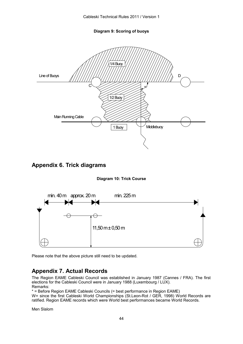



**Appendix 6. Trick diagrams**

<span id="page-43-0"></span>**Diagram 10: Trick Course**



Please note that the above picture still need to be updated.

## **Appendix 7. Actual Records**

The Region EAME Cableski Council was established in January 1987 (Cannes / FRA). The first elections for the Cableski Council were in January 1988 (Luxembourg / LUX). Remarks:

\* = Before Region EAME Cableski Councils (= best performance in Region EAME) W= since the first Cableski World Championships (St.Leon-Rot / GER, 1998) World Records are ratified. Region EAME records which were World best performances became World Records.

Men Slalom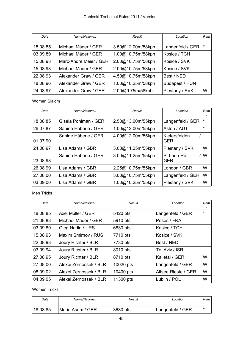| Date     | Name/National.         | Result            | Location         | Rem<br>$\cdot$ |
|----------|------------------------|-------------------|------------------|----------------|
| 18.08.85 | Michael Mäder / GER    | 3.50@12.00m/58kph | Langenfeld / GER | $\ast$         |
| 03.09.89 | Michael Mäder / GER    | 1.00@10.75m/58kph | Kosice / TCH     |                |
| 15.08.93 | Marc-Andre Meier / GER | 2.00@10.75m/58kph | Kosice / SVK     |                |
| 15.08.93 | Michael Mäder / GER    | 2.00@10.75m/58kph | Kosice / SVK     |                |
| 22.08.93 | Alexander Graw / GER   | 4.50@10.75m/58kph | Best / NED       |                |
| 18.08.96 | Alexander Graw / GER   | 1.00@10.25m/58kph | Budapest / HUN   |                |
| 24.08.97 | Alexander Graw / GER   | 2.00@9.75m/58kph  | Piestany / SVK   | W              |

Women Slalom

| Date     | Name/National.       | Result            | Location                    | Rem     |
|----------|----------------------|-------------------|-----------------------------|---------|
| 18.08.85 | Gisela Pohlman / GER | 2.50@13.00m/55kph | Langenfeld / GER            | $\star$ |
| 26.07.87 | Sabine Häberle / GER | 1.00@12.00m/55kph | Asten / AUT                 | $\star$ |
| 01.07.90 | Sabine Häberle / GER | 4.00@12.00m/55kph | Kiefersfelden<br><b>GER</b> |         |
| 24.08.97 | Lisa Adams / GBR     | 3.00@11.25m/55kph | Piestany / SVK              | W       |
| 23.08.98 | Sabine Häberle / GER | 3.00@11.25m/55kph | St.Leon-Rot<br>GER          | W       |
| 26.08.99 | Lisa Adams / GBR     | 2.25@10.75m/55kph | London / GBR                | W       |
| 27.08.00 | Lisa Adams / GBR     | 3.00@10.75m/55kph | Langenfeld / GER            | W       |
| 03.09.00 | Lisa Adams / GBR     | 1.00@10.25m/55kph | Piestany / SVK              | W       |

Men Tricks

| Date     | Name/National.         | Result    | Location            | Rem     |
|----------|------------------------|-----------|---------------------|---------|
| 18.08.85 | Axel Müller / GER      | 5420 pts  | Langenfeld / GER    | $\star$ |
| 21.08.88 | Michael Mäder / GER    | 5910 pts  | Poses / FRA         |         |
| 03.09.89 | Oleg Nadin / URS       | 6830 pts  | Kosice / TCH        |         |
| 15.08.93 | Maxim Smirnov / RUS    | 7710 pts  | Kosice / SVK        |         |
| 22.08.93 | Joury Richter / BLR    | 7730 pts  | Best / NED          |         |
| 03.09.94 | Joury Richter / BLR    | 8010 pts  | Tel Aviv / ISR      |         |
| 27.08.95 | Joury Richter / BLR    | 8710 pts  | Kalletal / GER      | W       |
| 27.08.00 | Alexei Zernossek / BLR | 10020 pts | Langenfeld / GER    | W       |
| 08.09.02 | Alexei Zernossek / BLR | 10400 pts | Alfsee Rieste / GER | W       |
| 04.09.05 | Alexei Zernossek / BLR | 11300 pts | Lublin / POL        | W       |

Women Tricks

| Date     | Name/National.   | Result   | Location         | Rem |
|----------|------------------|----------|------------------|-----|
| 18.08.85 | Maria Asam / GER | 3680 pts | Langenfeld / GER |     |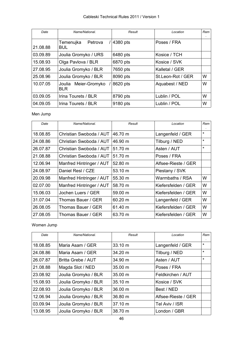| Date     | Name/National.                     | Result      | Location          | Rem |
|----------|------------------------------------|-------------|-------------------|-----|
| 21.08.88 | Temenujka<br>Petrova<br><b>BUL</b> | $/4380$ pts | Poses / FRA       |     |
| 03.09.89 | Joulia Gromyko / URS               | 6480 pts    | Kosice / TCH      |     |
| 15.08.93 | Olga Pavlova / BLR                 | 6870 pts    | Kosice / SVK      |     |
| 27.08.95 | Joulia Gromyko / BLR               | 7650 pts    | Kalletal / GER    |     |
| 25.08.96 | Joulia Gromyko / BLR               | 8090 pts    | St.Leon-Rot / GER | W   |
| 10.07.05 | Joulia Meier-Gromyko<br><b>BLR</b> | 8620 pts    | Aquabest / NED    | W   |
| 03.09.05 | Irina Tourets / BLR                | 8790 pts    | Lublin / POL      | W   |
| 04.09.05 | Irina Tourets / BLR                | 9180 pts    | Lublin / POL      | W   |

#### Men Jump

| Date     | Name/National.           | Result            | Location            | Rem     |
|----------|--------------------------|-------------------|---------------------|---------|
| 18.08.85 | Christian Swoboda / AUT  | 46.70 m           | Langenfeld / GER    | $\star$ |
| 24.08.86 | Christian Swoboda / AUT  | 46.90 m           | Tilburg / NED       | $\star$ |
| 26.07.87 | Christian Swoboda / AUT  | 51.70 m           | Asten / AUT         | $\star$ |
| 21.08.88 | Christian Swoboda / AUT  | 51.70 m           | Poses / FRA         |         |
| 12.06.94 | Manfred Hintringer / AUT | 52.80 m           | Alfsee-Rieste / GER |         |
| 24.08.97 | Daniel Resl / CZE        | 53.10 m           | Piestany / SVK      |         |
| 20.09.98 | Manfred Hintringer / AUT | 55.30 m           | Warmbaths / RSA     | W       |
| 02.07.00 | Manfred Hintringer / AUT | 58.70 m           | Kiefersfelden / GER | W       |
| 15.06.03 | Jochen Luers / GER       | 59.00 m           | Kiefersfelden / GER | W       |
| 31.07.04 | Thomas Bauer / GER       | $60.20 \text{ m}$ | Langenfeld / GER    | W       |
| 26.08.05 | Thomas Bauer / GER       | 61.40 m           | Kiefersfelden / GER | W       |
| 27.08.05 | Thomas Bauer / GER       | 63.70 m           | Kiefersfelden / GER | W       |

Women Jump

| Date     | Name/National.       | Result       | Location            | Rem     |
|----------|----------------------|--------------|---------------------|---------|
| 18.08.85 | Maria Asam / GER     | 33.10 m      | Langenfeld / GER    | $\star$ |
| 24.08.86 | Maria Asam / GER     | 34.20 m      | Tilburg / NED       | $\star$ |
| 26.07.87 | Britta Grebe / AUT   | 34.90 m      | Asten / AUT         | $\star$ |
| 21.08.88 | Magda Slot / NED     | $35.00 \; m$ | Poses / FRA         |         |
| 23.08.92 | Joulia Gromyko / BLR | 35.00 m      | Feldkirchen / AUT   |         |
| 15.08.93 | Joulia Gromyko / BLR | 35.10 m      | Kosice / SVK        |         |
| 22.08.93 | Joulia Gromyko / BLR | 36.00 m      | Best / NED          |         |
| 12.06.94 | Joulia Gromyko / BLR | 36.80 m      | Alfsee-Rieste / GER |         |
| 03.09.94 | Joulia Gromyko / BLR | 37.10 m      | Tel Aviv / ISR      |         |
| 13.08.95 | Joulia Gromyko / BLR | 38.70 m      | London / GBR        |         |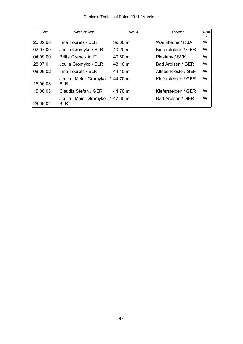| Date     | Name/National.                        | Result       | Location            | Rem |
|----------|---------------------------------------|--------------|---------------------|-----|
| 20.09.98 | Irina Tourets / BLR                   | $39.80 \; m$ | Warmbaths / RSA     | W   |
| 02.07.00 | Joulia Gromyko / BLR                  | 40.20 m      | Kiefersfelden / GER | W   |
| 04.09.00 | Britta Grebe / AUT                    | 40.60 m      | Piestany / SVK      | W   |
| 28.07.01 | Joulia Gromyko / BLR                  | 43.10 m      | Bad Arolsen / GER   | W   |
| 08.09.02 | Irina Tourets / BLR                   | 44.40 m      | Alfsee-Rieste / GER | W   |
| 15.06.03 | Meier-Gromyko<br>Joulia<br><b>BLR</b> | 44.70 m      | Kiefersfelden / GER | W   |
| 15.06.03 | Claudia Stefan / GER                  | 44.70 m      | Kiefersfelden / GER | W   |
| 29.08.04 | Meier-Gromyko<br>Joulia<br><b>BLR</b> | 47.60 m      | Bad Arolsen / GER   | W   |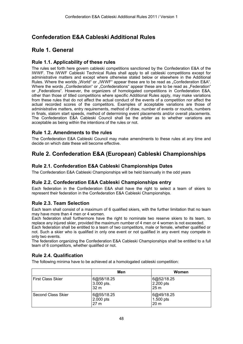## **Confederation E&A Cableski Additional Rules**

## **Rule 1. General**

#### **Rule 1.1. Applicability of these rules**

The rules set forth here govern cableski competitions sanctioned by the Confederation E&A of the IWWF. The IWWF Cableski Technical Rules shall apply to all cableski competitions except for administrative matters and except where otherwise stated below or elsewhere in the Additional Rules. Where the worlds "World" or "IWWF" appear these are to be read as "Confederation E&A". Where the words "Confederation" or "Confederations" appear these are to be read as "Federation" or "Federations". However, the organizers of homologated competitions in Confederation E&A, other than those of titled competitions where specific Additional Rules apply, may make variations from these rules that do not affect the actual conduct of the events of a competition nor affect the actual recorded scores of the competitors. Examples of acceptable variations are those of administrative matters, entry requirements, method of draw, number of events or rounds, numbers in finals, slalom start speeds, method of determining event placements and/or overall placements. The Confederation E&A Cableski Council shall be the arbiter as to whether variations are acceptable as being within the intentions of the rules or not.

#### **Rule 1.2. Amendments to the rules**

The Confederation E&A Cableski Council may make amendments to these rules at any time and decide on which date these will become effective.

## **Rule 2. Confederation E&A (European) Cableski Championships**

#### **Rule 2.1. Confederation E&A Cableski Championships Dates**

The Confederation E&A Cableski Championships will be held biannually in the odd years

#### **Rule 2.2. Confederation E&A Cableski Championships entry**

Each federation in the Confederation E&A shall have the right to select a team of skiers to represent their federation in the Confederation E&A Cableski Championships.

#### **Rule 2.3. Team Selection**

Each team shall consist of a maximum of 6 qualified skiers, with the further limitation that no team may have more than 4 men or 4 women.

Each federation shall furthermore have the right to nominate two reserve skiers to its team, to replace any injured skier, provided the maximum number of 4 men or 4 women is not exceeded.

Each federation shall be entitled to a team of two competitors, male or female, whether qualified or not. Such a skier who is qualified in only one event or not qualified in any event may compete in only two events.

The federation organizing the Confederation E&A Cableski Championships shall be entitled to a full team of 6 competitors, whether qualified or not.

#### **Rule 2.4. Qualification**

The following minima have to be achieved at a homologated cableski competition:

|                           | Men                                         | Women                                      |
|---------------------------|---------------------------------------------|--------------------------------------------|
| <b>First Class Skier</b>  | 6@58/18.25<br>3.000 pts.<br>32 <sub>m</sub> | 6@52/18.25<br>2.200 pts<br>25 <sub>m</sub> |
| <b>Second Class Skier</b> | 6@55/18.25<br>2.000 pts<br>27 <sub>m</sub>  | 6@49/18.25<br>1.500 pts<br>20 <sub>m</sub> |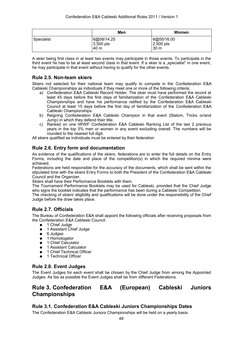|            | Men                             | Women                                      |
|------------|---------------------------------|--------------------------------------------|
| Specialist | 6@58/14.25<br>3.500 pts<br>40 m | 6@55/16.00<br>2.500 pts<br>30 <sub>m</sub> |

A skier being first class in at least two events may participate in those events. To participate in the third event he has to be at least second class in that event. If a skier is a "specialist" in one event, he may participate in that event without having to qualify for the other events.

#### **Rule 2.5. Non-team skiers**

Skiers not selected for their national team may qualify to compete in the Confederation E&A Cableski Championships as individuals if they meet one or more of the following criteria:

- a) Confederation E&A Cableski Record Holder. The skier must have performed the record at least 45 days before the first days of familiarization of the Confederation E&A Cableski Championships and have his performance ratified by the Confederation E&A Cableski Council at least 15 days before the first day of familiarization of the Confederation E&A Cableski Championships.
- b) Reigning Confederation E&A Cableski Champion in that event (Slalom, Tricks or/and Jump) in which they defend their title.
- c) Ranked on one IWWF Confederation E&A Cableski Ranking List of the last 2 previous years in the top 5% men or women in any event excluding overall. The numbers will be rounded to the nearest full digit.

All skiers qualified as individuals must be entered by their federation

#### **Rule 2.6. Entry form and documentation**

As evidence of the qualifications of the skiers, federations are to enter the full details on the Entry Forms, including the date and place of the competition(s) in which the required minima were achieved.

Federations are held responsible for the accuracy of the documents, which shall be sent within the stipulated time with the skiers Entry Forms to both the President of the Confederation E&A Cableski Council and the Organizer.

Skiers shall have their Performance Booklets with them.

The Tournament Performance Booklets may be used for Cableski, provided that the Chief Judge who signs the booklet indicates that the performance has been during a Cableski Competition.

The checking of skiers' eligibility and qualifications will be done under the responsibility of the Chief Judge before the draw takes place.

#### **Rule 2.7. Officials**

The Bureau of Confederation E&A shall appoint the following officials after receiving proposals from the Confederation E&A Cableski Council:

- 1 Chief Judge
- 1 Assistant Chief Judge
- 6 Judges
- 1 Homologator
- 1 Chief Calculator
- 1 Assistant Calculator
- 1 Chief Technical Officer
- 1 Technical Officer

#### **Rule 2.8. Event Judges**

The Event Judges for each event shall be chosen by the Chief Judge from among the Appointed Judges. As fas as possible the Event Judges shall be from different Federations.

## **Rule 3. Confederation E&A (European) Cableski Juniors Championships**

#### **Rule 3.1. Confederation E&A Cableski Juniors Championships Dates**

The Confederation E&A Cableski Juniors Championships will be held on a yearly basis.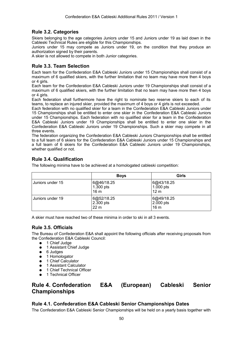## **Rule 3.2. Categories**

Skiers belonging to the age categories Juniors under 15 and Juniors under 19 as laid down in the Cableski Technical Rules are eligible for this Championships.

Juniors under 15 may compete as Juniors under 19, on the condition that they produce an authorization signed by their parents.

A skier is not allowed to compete in both Junior categories.

#### **Rule 3.3. Team Selection**

Each team for the Confederation E&A Cableski Juniors under 15 Championships shall consist of a maximum of 6 qualified skiers, with the further limitation that no team may have more then 4 boys or 4 girls.

Each team for the Confederation E&A Cableski Juniors under 19 Championships shall consist of a maximum of 6 qualified skiers, with the further limitation that no team may have more then 4 boys or 4 girls.

Each federation shall furthermore have the right to nominate two reserve skiers to each of its teams, to replace an injured skier, provided the maximum of 4 boys or 4 girls is not exceeded.

Each federation with no qualified skier for a team in the Confederation E&A Cableski Juniors under 15 Championships shall be entitled to enter one skier in the Confederation E&A Cableski Juniors under 15 Championships. Each federation with no qualified skier for a team in the Confederation E&A Cableski Juniors under 19 Championships shall be entitled to enter one skier in the Confederation E&A Cableski Juniors under 19 Championships. Such a skier may compete in all three events.

The federation organizing the Confederation E&A Cableski Juniors Championships shall be entitled to a full team of 6 skiers for the Confederation E&A Cableski Juniors under 15 Championships and a full team of 6 skiers for the Confederation E&A Cableski Juniors under 19 Championships, whether qualified or not.

#### **Rule 3.4. Qualification**

The following minima have to be achieved at a homologated cableski competition:

|                  | <b>Boys</b>                                | Girls                                        |
|------------------|--------------------------------------------|----------------------------------------------|
| Juniors under 15 | 6@46/18.25<br>$1.300$ pts<br>16 m          | 6@43/18.25<br>$1.000$ pts<br>12 <sub>m</sub> |
| Juniors under 19 | 6@52/18.25<br>2.300 pts<br>22 <sub>m</sub> | 6@49/18.25<br>2.000 pts<br>16 <sub>m</sub>   |

A skier must have reached two of these minima in order to ski in all 3 events.

#### **Rule 3.5. Officials**

The Bureau of Confederation E&A shall appoint the following officials after receiving proposals from the Confederation E&A Cableski Council:

- 1 Chief Judge
- 1 Assistant Chief Judge
- 6 Judges
- 1 Homologator
- 1 Chief Calculator
- 1 Assistant Calculator
- 1 Chief Technical Officer
- 1 Technical Officer

## **Rule 4. Confederation E&A (European) Cableski Senior Championships**

#### **Rule 4.1. Confederation E&A Cableski Senior Championships Dates**

The Confederation E&A Cableski Senior Championships will be held on a yearly basis together with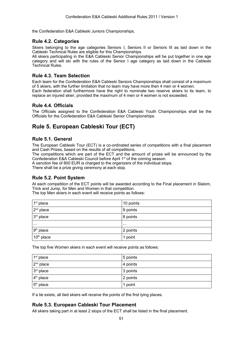the Confederation E&A Cableski Juniors Championships.

#### **Rule 4.2. Categories**

Skiers belonging to the age categories Seniors I, Seniors II or Seniors III as laid down in the Cableski Technical Rules are eligible for this Championships.

All skiers participating in the E&A Cableski Senior Championships will be put together in one age category and will ski with the rules of the Senior I age category as laid down in the Cableski Technical Rules.

#### **Rule 4.3. Team Selection**

Each team for the Confederation E&A Cableski Seniors Championships shall consist of a maximum of 5 skiers, with the further limitation that no team may have more then 4 men or 4 women. Each federation shall furthermore have the right to nominate two reserve skiers to its team, to replace an injured skier, provided the maximum of 4 men or 4 women is not exceeded.

#### **Rule 4.4. Officials**

The Officials assigned to the Confederation E&A Cableski Youth Championships shall be the Officials for the Confederation E&A Cableski Senior Championships.

## **Rule 5. European Cableski Tour (ECT)**

#### **Rule 5.1. General**

The European Cableski Tour (ECT) is a co-ordinated series of competitions with a final placement and Cash Prizes, based on the results of all competitions.

The competitions which are part of the ECT and the amount of prizes will be announced by the Confederation E&A Cableski Council before April 1<sup>st</sup> of the coming season.

A sanction fee of 800 EUR is charged to the organizers of the individual stops.

There shall be a prize giving ceremony at each stop.

#### **Rule 5.2. Point System**

At each competition of the ECT points will be awarded according to the Final placement in Slalom, Trick and Jump, for Men and Women in that competition.

The top Men skiers in each event will receive points as follows:

| $1st$ place            | 10 points |
|------------------------|-----------|
| $2^{nd}$ place         | 9 points  |
| $3rd$ place            | 8 points  |
| $\cdots$               | $\cdots$  |
| 9 <sup>th</sup> place  | 2 points  |
| 10 <sup>th</sup> place | 1 point   |

The top five Women skiers in each event will receive points as follows:

| $1st$ place           | 5 points |
|-----------------------|----------|
| $2^{nd}$ place        | 4 points |
| $3rd$ place           | 3 points |
| $4th$ place           | 2 points |
| 5 <sup>th</sup> place | 1 point  |

If a tie exists, all tied skiers will receive the points of the first tying places.

#### **Rule 5.3. European Cableski Tour Placement**

All skiers taking part in at least 2 stops of the ECT shall be listed in the final placement.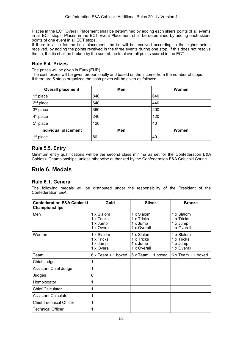Places in the ECT Overall Placement shall be determined by adding each skiers points of all events in all ECT stops. Places in the ECT Event Placement shall be determined by adding each skiers points of one event in all ECT stops.

If there is a tie for the final placement, the tie will be resolved according to the higher points received, by adding the points received in the three events during one stop. If this does not resolve the tie, the tie shall be broken by the sum of the total overall points scored in the ECT.

#### **Rule 5.4. Prizes**

The prizes will be given in Euro (EUR).

The cash prizes will be given proportionally and based on the income from the number of stops. If there are 5 stops organized the cash prizes will be given as follows:

| <b>Overall placement</b>    | Men | Women |
|-----------------------------|-----|-------|
| $1st$ place                 | 840 | 640   |
| $2nd$ place                 | 640 | 440   |
| 3rd place                   | 360 | 200   |
| $4th$ place                 | 240 | 120   |
| $5th$ place                 | 120 | 40    |
| <b>Individual placement</b> | Men | Women |
| $1st$ place                 | 80  | 40    |

#### **Rule 5.5. Entry**

Minimum entry qualifications will be the second class minima as set for the Confederation E&A Cableski Championships, unless otherwise authorized by the Confederation E&A Cableski Council.

#### **Rule 6. Medals**

#### **Rule 6.1. General**

The following medals will be distributed under the responsibility of the President of the Confederation E&A.

| <b>Confederation E&amp;A Cableski</b><br>Championships | Gold                                                | <b>Silver</b>                                       | <b>Bronze</b>                                       |
|--------------------------------------------------------|-----------------------------------------------------|-----------------------------------------------------|-----------------------------------------------------|
| Men                                                    | 1 x Slalom<br>1 x Tricks<br>1 x Jump<br>1 x Overall | 1 x Slalom<br>1 x Tricks<br>1 x Jump<br>1 x Overall | 1 x Slalom<br>1 x Tricks<br>1 x Jump<br>1 x Overall |
| Women                                                  | 1 x Slalom<br>1 x Tricks<br>1 x Jump<br>1 x Overall | 1 x Slalom<br>1 x Tricks<br>1 x Jump<br>1 x Overall | 1 x Slalom<br>1 x Tricks<br>1 x Jump<br>1 x Overall |
| Team                                                   | 6 x Team + 1 boxed                                  | 6 x Team + 1 boxed                                  | 6 x Team + 1 boxed                                  |
| Chief Judge                                            | 1                                                   |                                                     |                                                     |
| <b>Assistant Chief Judge</b>                           | 1                                                   |                                                     |                                                     |
| Judges                                                 | 6                                                   |                                                     |                                                     |
| Homologator                                            | 1                                                   |                                                     |                                                     |
| <b>Chief Calculator</b>                                | 1                                                   |                                                     |                                                     |
| <b>Assistant Calculator</b>                            | 1                                                   |                                                     |                                                     |
| <b>Chief Technical Officer</b>                         | 1                                                   |                                                     |                                                     |
| <b>Technical Officer</b>                               | 1                                                   |                                                     |                                                     |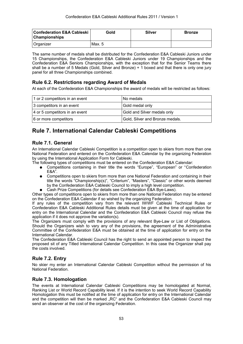| <b>Confederation E&amp;A Cableski</b><br><b>Championships</b> | Gold   | Silver | <b>Bronze</b> |
|---------------------------------------------------------------|--------|--------|---------------|
| <b>Organizer</b>                                              | Max. 5 |        |               |

The same number of medals shall be distributed for the Confederation E&A Cableski Juniors under 15 Championships, the Confederation E&A Cableski Juniors under 19 Championships and the Confederation E&A Seniors Championships, with the exception that for the Senior Teams there shall be a number of 5 Medals (Gold, Silver and Bronze)  $+1$  boxed and that there is only one jury panel for all three Championships combined.

#### **Rule 6.2. Restrictions regarding Award of Medals**

At each of the Confederation E&A Championships the award of medals will be restricted as follows:

| 1 or 2 competitors in an event | No medals                       |
|--------------------------------|---------------------------------|
| 3 competitors in an event      | Gold medal only                 |
| 4 or 5 competitors in an event | Gold and Silver medals only     |
| 6 or more competitors          | Gold, Silver and Bronze medals. |

## **Rule 7. International Calendar Cableski Competitions**

#### <span id="page-52-0"></span>**Rule 7.1. General**

An International Calendar Cableski Competition is a competition open to skiers from more than one National Federation and entered on the Confederation E&A Calendar by the organizing Federation by using the International Application Form for Cableski.

The following types of competitions must be entered on the Confederation E&A Calendar:

- Competitions containing in their title the words "Europe", "European" or "Confederation E&A".
- Competitions open to skiers from more than one National Federation and containing in their title the words "Championship(s)", "Criterium", "Masters", "Classic" or other words deemed by the Confederation E&A Cableski Council to imply a high level competition.
- Cash Prize Competitions (for details see Confederation E&A Bye-Laws).

Other types of competitions open to skiers from more than one National Federation may be entered on the Confederation E&A Calendar if so wished by the organizing Federation.

If any rules of the competition vary from the relevant IWWF Cableski Technical Rules or Confederation E&A Cableski Additional Rules details must be given at the time of application for entry on the International Calendar and the Confederation E&A Cableski Council may refuse the application if it does not approve the variation(s).

The Organizers must comply with the provisions of any relevant Bye-Law or List of Obligations. Should the Organizers wish to vary any of the provisions, the agreement of the Administrative Committee of the Confederation E&A must be obtained at the time of application for entry on the International Calendar.

The Confederation E&A Cableski Council has the right to send an appointed person to inspect the proposed sit of any Titled International Calendar Competition. In this case the Organizer shall pay the costs involved.

#### **Rule 7.2. Entry**

No skier my enter an International Calendar Cableski Competition without the permission of his National Federation.

#### **Rule 7.3. Homologation**

The events at International Calendar Cableski Competitions may be homologated at Normal, Ranking List or World Record Capability level. If it is the intention to seek World Record Capability Homologation this must be notified at the time of application for entry on the International Calendar and the competition will then be marked "RC" and the Confederation E&A Cableski Council may send an observer at the cost of the organizing Federation.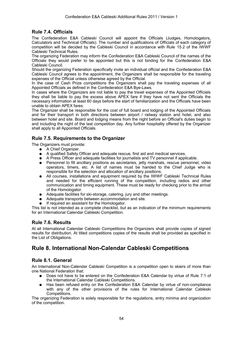#### **Rule 7.4. Officials**

The Confederation E&A Cableski Council will appoint the Officials (Judges, Homologators, Calculators and Technical Officials). The number and qualifications of Officials of each category of competition will be decided by the Cableski Council in accordance with Rule [15.2](#page-30-0) of the IWWF Cableski Technical Rules.

The organizing Federation may inform the Confederation E&A Cableski Council of the names of the Officials they would prefer to be appointed but this is not binding for the Confederation E&A Cableski Council.

Should the organizing Federation specifically invite an individual official and the Confederation E&A Cableski Council agrees to the appointment, the Organizers shall be responsible for the traveling expenses of the Official unless otherwise agreed by the Official.

In the case of Cash Prize competitions the Organizers shall pay the traveling expenses of all Appointed Officials as defined in the Confederation E&A Bye-Laws.

In cases where the Organizers are not liable to pay the travel expenses of the Appointed Officials they shall be liable to pay the excess above APEX fare if they have not sent the Officials the necessary information at least 60 days before the start of familiarization and the Officials have been unable to obtain APEX fares.

The Organizer shall be responsible for the cost of full board and lodging of the Appointed Officials and for their transport in both directions between airport / railway station and hotel, and also between hotel and site. Board and lodging means from the night before an Official's duties begin to and including the night of the last competition day. Any further hospitality offered by the Organizer shall apply to all Appointed Officials.

#### **Rule 7.5. Requirements to the Organizer**

The Organizers must provide:

- A Chief Organizer.
- A qualified Safety Officer and adequate rescue, first aid and medical services.
- A Press Officer and adequate facilities for journalists and TV personnel if applicable.
- Personnel to fill ancillary positions as secretaries, jetty marshals, rescue personnel, video operators, timers, etc. A list of names must be handed to the Chief Judge who is responsible for the selection and allocation of ancillary positions.
- All courses, installations and equipment required by the IWWF Cableski Technical Rules and needed for the efficient running of the competition, including radios and other communication and timing equipment. These must be ready for checking prior to the arrival of the Homologator.
- Adequate facilities for ski-storage, catering, jury and other meetings.
- Adequate transports between accommodation and site.
- If required an assistant for the Homologator.

This list is not intended as a complete checklist, but as an indication of the minimum requirements for an International Calendar Cableski Competition.

#### **Rule 7.6. Results**

At all International Calendar Cableski Competitions the Organizers shall provide copies of signed results for distribution. At titled competitions copies of the results shall be provided as specified in the List of Obligations.

## **Rule 8. International Non-Calendar Cableski Competitions**

#### **Rule 8.1. General**

An International Non-Calendar Cableski Competition is a competition open to skiers of more than one National Federation that:

- Does not have to be entered on the Confederation E&A Calendar by virtue of Rule [7.1](#page-52-0) of the International Calendar Cableski Competitions.
- Has been refused entry on the Confederation E&A Calendar by virtue of non-compliance with any of the other provisions of the rules for International Calendar Cableski Competitions.

The organizing Federation is solely responsible for the regulations, entry minima and organization of the competition.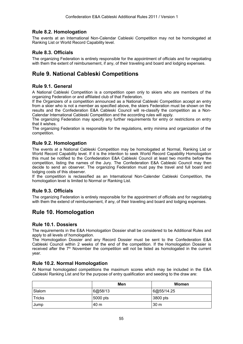#### **Rule 8.2. Homologation**

The events at an International Non-Calendar Cableski Competition may not be homologated at Ranking List or World Record Capability level.

#### **Rule 8.3. Officials**

The organizing Federation is entirely responsible for the appointment of officials and for negotiating with them the extent of reimbursement, if any, of their traveling and board and lodging expenses.

## **Rule 9. National Cableski Competitions**

#### **Rule 9.1. General**

A National Cableski Competition is a competition open only to skiers who are members of the organizing Federation or and affiliated club of that Federation.

If the Organizers of a competition announced as a National Cableski Competition accept an entry from a skier who is not a member as specified above, the skiers Federation must be shown on the results and the Confederation E&A Cableski Council will re-classify the competition as a Non-Calendar International Cableski Competition and the according rules will apply.

The organizing Federation may specify any further requirements for entry or restrictions on entry that it wishes.

The organizing Federation is responsible for the regulations, entry minima and organization of the competition.

#### **Rule 9.2. Homologation**

The events at a National Cableski Competition may be homologated at Normal, Ranking List or World Record Capability level. If it is the intention to seek World Record Capability Homologation this must be notified to the Confederation E&A Cableski Council at least two months before the competition, listing the names of the Jury. The Confederation E&A Cableski Council may then decide to send an observer. The organizing Federation must pay the travel and full board and lodging costs of this observer.

If the competition is reclassified as an International Non-Calender Cableski Competition, the homologation level is limited to Normal or Ranking List.

#### **Rule 9.3. Officials**

The organizing Federation is entirely responsible for the appointment of officials and for negotiating with them the extend of reimbursement, if any, of their traveling and board and lodging expenses.

## **Rule 10. Homologation**

#### **Rule 10.1. Dossiers**

The requirements in the E&A Homologation Dossier shall be considered to be Additional Rules and apply to all levels of homologation.

The Homologation Dossier and any Record Dossier must be sent to the Confederation E&A Cableski Council within 2 weeks of the end of the competition. If the Homologation Dossier is received after the  $7<sup>th</sup>$  November the competition will not be listed as homologated in the current year.

#### <span id="page-54-0"></span>**Rule 10.2. Normal Homologation**

At Normal homologated competitions the maximum scores which may be included in the E&A Cableski Ranking List and for the purpose of entry qualification and seeding to the draw are:

|        | Men      | Women           |
|--------|----------|-----------------|
| Slalom | 6@58/13  | 6@55/14.25      |
| Tricks | 5000 pts | 3800 pts        |
| Jump   | 40 m     | 30 <sub>m</sub> |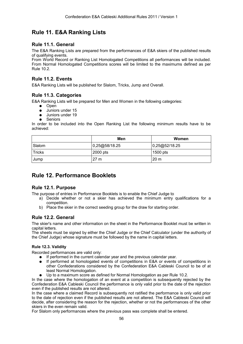## **Rule 11. E&A Ranking Lists**

#### **Rule 11.1. General**

The E&A Ranking Lists are prepared from the performances of E&A skiers of the published results of qualifying events.

From World Record or Ranking List Homologated Competitions all performances will be included. From Normal Homologated Competitions scores will be limited to the maximums defined as per Rule [10.2.](#page-54-0)

#### **Rule 11.2. Events**

E&A Ranking Lists will be published for Slalom, Tricks, Jump and Overall.

#### **Rule 11.3. Categories**

E&A Ranking Lists will be prepared for Men and Women in the following categories:

- Open
- **•** Juniors under 15
- **•** Juniors under 19
- Seniors

In order to be included into the Open Ranking List the following minimum results have to be achieved:

|               | Men             | Women           |  |
|---------------|-----------------|-----------------|--|
| Slalom        | 0,25@58/18.25   | 0,25@52/18.25   |  |
| <b>Tricks</b> | 2000 pts        | 1500 pts        |  |
| Jump          | 27 <sub>m</sub> | 20 <sub>m</sub> |  |

## **Rule 12. Performance Booklets**

#### **Rule 12.1. Purpose**

The purpose of entries in Performance Booklets is to enable the Chief Judge to

- a) Decide whether or not a skier has achieved the minimum entry qualifications for a competition.
- b) Place the skier in the correct seeding group for the draw for starting order.

#### **Rule 12.2. General**

The skier's name and other information on the sheet in the Performance Booklet must be written in capital letters.

The sheets must be signed by either the Chief Judge or the Chief Calculator (under the authority of the Chief Judge) whose signature must be followed by the name in capital letters.

#### **Rule 12.3. Validity**

Recorded performances are valid only:

- If performed in the current calendar year and the previous calendar year.
- If performed at homologated events of competitions in E&A or events of competitions in other Confederations considered by the Confederation E&A Cableski Council to be of at least Normal Homologation.
- Up to a maximum score as defined for Normal Homologation as per Rule [10.2.](#page-54-0)

In the case where the homologation of an event at a competition is subsequently rejected by the Confederation E&A Cableski Council the performance is only valid prior to the date of the rejection even if the published results are not altered.

In the case where a claimed Record is subsequently not ratified the performance is only valid prior to the date of rejection even if the published results are not altered. The E&A Cableski Council will decide, after considering the reason for the rejection, whether or not the performances of the other skiers in the even remain valid.

For Slalom only performances where the previous pass was complete shall be entered.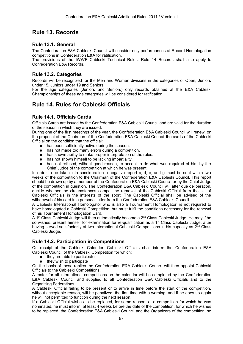## **Rule 13. Records**

#### **Rule 13.1. General**

The Confederation E&A Cableski Council will consider only performances at Record Homologation competitions in Confederation E&A for ratification.

The provisions of the IWWF Cableski Technical Rules: Rule [14](#page-28-1) Records shall also apply to Confederation E&A Records.

#### **Rule 13.2. Categories**

Records will be recognized for the Men and Women divisions in the categories of Open, Juniors under 15, Juniors under 19 and Seniors.

For the age categories (Juniors and Seniors) only records obtained at the E&A Cableski Championships of these age categories will be considered for ratification.

## **Rule 14. Rules for Cableski Officials**

#### **Rule 14.1. Officials Cards**

Officials Cards are issued by the Confederation E&A Cableski Council and are valid for the duration of the season in which they are issued.

During one of the first meetings of the year, the Confederation E&A Cableski Council will renew, on the proposal of the Chairman of the Confederation E&A Cableski Council the cards of the Cableski Official on the condition that the official:

- has been sufficiently active during the season.
- has not made too many errors during a competition.
- has shown ability to make proper interpretation of the rules.
- has not shown himself to be lacking impartiality.
- has not refused, without good reason, to accept to do what was required of him by the Chief Judge of the competition at which he was present.

In order to be taken into consideration a negative report c, d, e, and g must be sent within two weeks of the competition to the Chairman of the Confederation E&A Cableski Council. This report should be drawn up by a member of the Confederation E&A Cableski Council or by the Chief Judge of the competition in question. The Confederation E&A Cableski Council will after due deliberation, decide whether the circumstances compel the removal of the Cableski Official from the list of Cableski Officials in the interests of the sport. The Cableski Official shall be advised of the withdrawal of his card in a personal letter from the Confederation E&A Cableski Council.

A Cableski International Homologator who is also a Tournament Homologator, is not required to have homologated a Cableski Competition, but must fulfil the conditions necessary for the renewal of his Tournament Homologation Card.

A 1<sup>st</sup> Class Cableski Judge will then automatically become a  $2^{nd}$  Class Cableski Judge. He may if he so wishes, present himself for examination for re-qualification as a  $1<sup>st</sup>$  Class Cableski Judge, after having served satisfactorily at two International Cableski Competitions in his capacity as 2<sup>nd</sup> Class Cableski Judge.

#### **Rule 14.2. Participation in Competitions**

On receipt of the Cableski Calender, Cableski Officials shall inform the Confederation E&A Cableski Council of the Cableski Competition for which:

- they are able to participate
- they wish to participate

On the basis of these replies the Confederation E&A Cableski Council will then appoint Cableski Officials to the Cableski Competitions.

A roster for all international competitions on the calendar will be completed by the Confederation E&A Cableski Council and supplied to all Confederation E&A Cableski Officials and to the Organizing Federations.

A Cableski Official failing to be present or to arrive in time before the start of the competition, without acceptable reason, will be penalized; the first time with a warning, and if he does so again he will not permitted to function during the next season.

If a Cableski Official wishes to be replaced, for some reason, at a competition for which he was nominated, he must inform, at least 4 weeks before the date of the competition, for which he wishes to be replaced, the Confederation E&A Cableski Council and the Organizers of the competition, so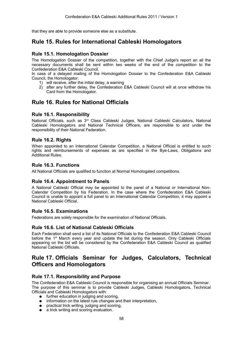that they are able to provide someone else as a substitute.

## **Rule 15. Rules for International Cableski Homologators**

#### **Rule 15.1. Homologation Dossier**

The Homologation Dossier of the competition, together with the Chief Judge's report an all the necessary documents shall be sent within two weeks of the end of the competition to the Confederation E&A Cableski Council.

In case of a delayed mailing of the Homologation Dossier to the Confederation E&A Cableski Council, the Homologator:

- 1) will receive, after the initial delay, a warning
- 2) after any further delay, the Confederation E&A Cableski Council will at once withdraw his Card from the Homologator.

## **Rule 16. Rules for National Officials**

#### **Rule 16.1. Responsibility**

National Officials, such as 3rd Class Cableski Judges, National Cableski Calculators, National Cableski Homologators and National Technical Officers, are responsible to and under the responsibility of their National Federation.

#### **Rule 16.2. Rights**

When appointed to an International Calendar Competition, a National Official is entitled to such rights and reimbursements of expenses as are specified in the Bye-Laws, Obligations and Additional Rules.

#### **Rule 16.3. Functions**

All National Officials are qualified to function at Normal Homologated competitions.

#### **Rule 16.4. Appointment to Panels**

A National Cableski Official may be appointed to the panel of a National or International Non-Calendar Competition by his Federation. In the case where the Confederation E&A Cableski Council is unable to appoint a full panel to an International Calendar Competition, it may appoint a National Cableski Official.

#### **Rule 16.5. Examinations**

Federations are solely responsible for the examination of National Officials.

#### **Rule 16.6. List of National Cableski Officials**

Each Federation shall send a list of its National Officials to the Confederation E&A Cableski Council before the 1<sup>st</sup> March every year and update the list during the season. Only Cableski Officials appearing on the list will be considered by the Confederation E&A Cableski Council as qualified National Cableski Officials.

## **Rule 17. Officials Seminar for Judges, Calculators, Technical Officers and Homologators**

#### **Rule 17.1. Responsibility and Purpose**

The Confederation E&A Cableski Council is responsible for organising an annual Officials Seminar. The purpose of this seminar is to provide Cableski Judges, Cableski Homologators, Technical Officials and Cableski Homologators with:

- further education in judging and scoring,
- information on the latest rule changes and their interpretation,
- practical trick writing, judging and scoring,
- a trick writing and scoring evaluation.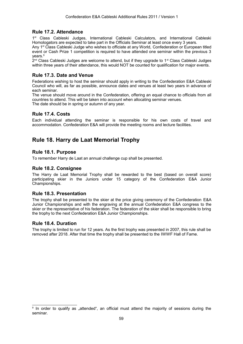#### **Rule 17.2. Attendance**

1<sup>st</sup> Class Cableski Judges, International Cableski Calculators, and International Cableski Homologators are expected to take part in the Officials Seminar at least once every 3 years.

Any 1<sup>st</sup> Class Cableski Judge who wishes to officiate at any World, Confederation or European titled event or Cash Prize 1 competition is required to have attended one seminar within the previous 3 years.[9](#page-58-0)

2<sup>nd</sup> Class Cableski Judges are welcome to attend, but if they upgrade to 1<sup>st</sup> Class Cableski Judges within three years of their attendance, this would NOT be counted for qualification for major events.

#### **Rule 17.3. Date and Venue**

Federations wishing to host the seminar should apply in writing to the Confederation E&A Cableski Council who will, as far as possible, announce dates and venues at least two years in advance of each seminar.

The venue should move around in the Confederation, offering an equal chance to officials from all countries to attend. This will be taken into account when allocating seminar venues. The date should be in spring or autumn of any year.

#### **Rule 17.4. Costs**

Each individual attending the seminar is responsible for his own costs of travel and accommodation. Confederation E&A will provide the meeting rooms and lecture facilities.

## **Rule 18. Harry de Laat Memorial Trophy**

#### **Rule 18.1. Purpose**

To remember Harry de Laat an annual challenge cup shall be presented.

#### **Rule 18.2. Consignee**

The Harry de Laat Memorial Trophy shall be rewarded to the best (based on overall score) participating skier in the Juniors under 15 category of the Confederation E&A Junior Championships.

#### **Rule 18.3. Presentation**

The trophy shall be presented to the skier at the price giving ceremony of the Confederation E&A Junior Championships and with the engraving at the annual Confederation E&A congress to the skier or the representative of his federation. The federation of the skier shall be responsible to bring the trophy to the next Confederation E&A Junior Championships.

#### **Rule 18.4. Duration**

The trophy is limited to run for 12 years. As the first trophy was presented in 2007, this rule shall be removed after 2018. After that time the trophy shall be presented to the IWWF Hall of Fame.

<span id="page-58-0"></span><sup>&</sup>lt;sup>9</sup> In order to qualify as "attended", an official must attend the majority of sessions during the seminar.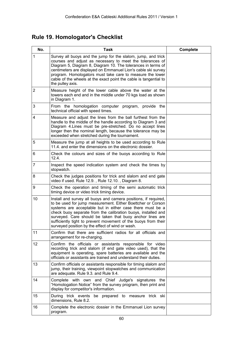**Rule 19. Homologator's Checklist**

| No. | <b>Task</b>                                                                                                                                                                                                                                                                                                                                                                                                                                     | <b>Complete</b> |
|-----|-------------------------------------------------------------------------------------------------------------------------------------------------------------------------------------------------------------------------------------------------------------------------------------------------------------------------------------------------------------------------------------------------------------------------------------------------|-----------------|
| 1   | Survey all buoys and the jump for the slalom, jump, and trick<br>courses and adjust as necessary to meet the tolerances of<br>Diagram 5, Diagram 8, Diagram 10. The tolerances in terms of<br>centimeters are displayed on Emmanuel Lion's cable ski survey<br>program. Homologators must take care to measure the lower<br>cable of the wheels at the exact point the cable is tangential to<br>the pulley axis.                               |                 |
| 2   | Measure height of the lower cable above the water at the<br>towers each end and in the middle under 70 kgs load as shown<br>in Diagram 1.                                                                                                                                                                                                                                                                                                       |                 |
| 3   | From the homologation computer program, provide the<br>technical official with speed times.                                                                                                                                                                                                                                                                                                                                                     |                 |
| 4   | Measure and adjust the lines from the ball furthest from the<br>handle to the middle of the handle according to Diagram 3 and<br>Diagram 4. Lines must be pre-stretched. Do no accept lines<br>longer then the nominal length, because the tolerance may be<br>exceeded when stretched during the tournament.                                                                                                                                   |                 |
| 5   | Measure the jump at all heights to be used according to Rule<br>11.4, and enter the dimensions on the electronic dossier.                                                                                                                                                                                                                                                                                                                       |                 |
| 6   | Check the colours and sizes of the buoys according to Rule<br>12.4.                                                                                                                                                                                                                                                                                                                                                                             |                 |
| 7   | Inspect the speed indication system and check the times by<br>stopwatch.                                                                                                                                                                                                                                                                                                                                                                        |                 |
| 8   | Check the judges positions for trick and slalom and end gate<br>video if used. Rule 12.9., Rule 12.10., Diagram 8.                                                                                                                                                                                                                                                                                                                              |                 |
| 9   | Check the operation and timing of the semi automatic trick<br>timing device or video trick timing device.                                                                                                                                                                                                                                                                                                                                       |                 |
| 10  | Install and survey all buoys and camera positions, if required,<br>to be used for jump measurement. Either Boettcher or Corson<br>systems are acceptable but in either case there must be a<br>check buoy separate from the calibration buoys, installed and<br>surveyed. Care should be taken that buoy anchor lines are<br>sufficiently tight to prevent movement of the buoys from their<br>surveyed position by the effect of wind or wash. |                 |
| 11  | Confirm that there are sufficient radios for all officials and<br>arrangement for re-charging.                                                                                                                                                                                                                                                                                                                                                  |                 |
| 12  | Confirm the officials or assistants responsible for video<br>recording trick and slalom (if end gate video used), that the<br>equipment is operating, spare batteries are available and the<br>officials or assistants are trained and understand their duties.                                                                                                                                                                                 |                 |
| 13  | Confirm officials or assistants responsible for timing slalom and<br>jump, their training, viewpoint stopwatches and communication<br>are adequate. Rule 9.3. and Rule 9.4.                                                                                                                                                                                                                                                                     |                 |
| 14  | Complete with own and Chief Judge's signatures the<br>"Homologation Notice" from the survey program, then print and<br>display for competitor's information.                                                                                                                                                                                                                                                                                    |                 |
| 15  | During trick events be prepared to measure trick ski<br>dimensions, Rule 8.2.                                                                                                                                                                                                                                                                                                                                                                   |                 |
| 16  | Complete the electronic dossier in the Emmanuel Lion survey<br>program.                                                                                                                                                                                                                                                                                                                                                                         |                 |